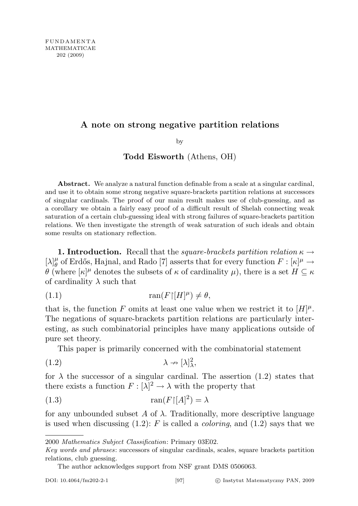## A note on strong negative partition relations

by

## Todd Eisworth (Athens, OH)

Abstract. We analyze a natural function definable from a scale at a singular cardinal, and use it to obtain some strong negative square-brackets partition relations at successors of singular cardinals. The proof of our main result makes use of club-guessing, and as a corollary we obtain a fairly easy proof of a difficult result of Shelah connecting weak saturation of a certain club-guessing ideal with strong failures of square-brackets partition relations. We then investigate the strength of weak saturation of such ideals and obtain some results on stationary reflection.

**1. Introduction.** Recall that the *square-brackets partition relation*  $\kappa \rightarrow$  $[\lambda]_{\theta}^{\mu}$  $\mu$ <sup> $\mu$ </sup> of Erdős, Hajnal, and Rado [7] asserts that for every function  $F : [\kappa]^{\mu} \to$ θ (where  $\kappa$ <sup>|μ</sup> denotes the subsets of κ of cardinality μ), there is a set  $H ⊆ κ$ of cardinality  $\lambda$  such that

(1.1) ran(F[H] µ ) 6= θ,

that is, the function F omits at least one value when we restrict it to  $[H]^{\mu}$ . The negations of square-brackets partition relations are particularly interesting, as such combinatorial principles have many applications outside of pure set theory.

This paper is primarily concerned with the combinatorial statement

$$
(1.2)\t\t\t\t\t\lambda \to [\lambda]_{\lambda}^2,
$$

for  $\lambda$  the successor of a singular cardinal. The assertion (1.2) states that there exists a function  $F : [\lambda]^2 \to \lambda$  with the property that

$$
(1.3)\qquad \qquad \tan(F)[A]^2) = \lambda
$$

for any unbounded subset A of  $\lambda$ . Traditionally, more descriptive language is used when discussing  $(1.2)$ : F is called a *coloring*, and  $(1.2)$  says that we

<sup>2000</sup> Mathematics Subject Classification: Primary 03E02.

Key words and phrases: successors of singular cardinals, scales, square brackets partition relations, club guessing.

The author acknowledges support from NSF grant DMS 0506063.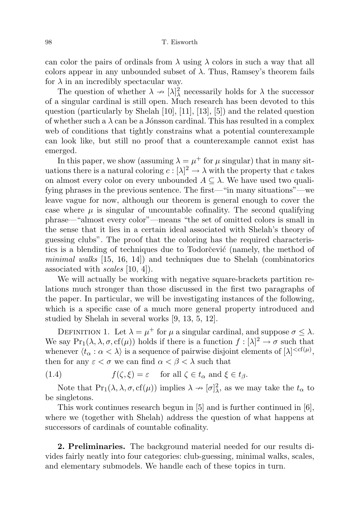98 T. Eisworth

can color the pairs of ordinals from  $\lambda$  using  $\lambda$  colors in such a way that all colors appear in any unbounded subset of  $\lambda$ . Thus, Ramsey's theorem fails for  $\lambda$  in an incredibly spectacular way.

The question of whether  $\lambda \to [\lambda]_{\lambda}^2$  necessarily holds for  $\lambda$  the successor of a singular cardinal is still open. Much research has been devoted to this question (particularly by Shelah [10], [11], [13], [5]) and the related question of whether such a  $\lambda$  can be a Jónsson cardinal. This has resulted in a complex web of conditions that tightly constrains what a potential counterexample can look like, but still no proof that a counterexample cannot exist has emerged.

In this paper, we show (assuming  $\lambda = \mu^+$  for  $\mu$  singular) that in many situations there is a natural coloring  $c: [\lambda]^2 \to \lambda$  with the property that c takes on almost every color on every unbounded  $A \subseteq \lambda$ . We have used two qualifying phrases in the previous sentence. The first—"in many situations"—we leave vague for now, although our theorem is general enough to cover the case where  $\mu$  is singular of uncountable cofinality. The second qualifying phrase—"almost every color"—means "the set of omitted colors is small in the sense that it lies in a certain ideal associated with Shelah's theory of guessing clubs". The proof that the coloring has the required characteristics is a blending of techniques due to Todorcevic (namely, the method of minimal walks  $[15, 16, 14]$  and techniques due to Shelah (combinatorics associated with scales [10, 4]).

We will actually be working with negative square-brackets partition relations much stronger than those discussed in the first two paragraphs of the paper. In particular, we will be investigating instances of the following, which is a specific case of a much more general property introduced and studied by Shelah in several works [9, 13, 5, 12].

DEFINITION 1. Let  $\lambda = \mu^+$  for  $\mu$  a singular cardinal, and suppose  $\sigma \leq \lambda$ . We say  $Pr_1(\lambda, \lambda, \sigma, cf(\mu))$  holds if there is a function  $f : [\lambda]^2 \to \sigma$  such that whenever  $\langle t_\alpha : \alpha < \lambda \rangle$  is a sequence of pairwise disjoint elements of  $[\lambda]^{,$ then for any  $\varepsilon < \sigma$  we can find  $\alpha < \beta < \lambda$  such that

(1.4)  $f(\zeta, \xi) = \varepsilon$  for all  $\zeta \in t_\alpha$  and  $\xi \in t_\beta$ .

Note that  $Pr_1(\lambda, \lambda, \sigma, cf(\mu))$  implies  $\lambda \to [\sigma]_\lambda^2$ , as we may take the  $t_\alpha$  to be singletons.

This work continues research begun in [5] and is further continued in [6], where we (together with Shelah) address the question of what happens at successors of cardinals of countable cofinality.

2. Preliminaries. The background material needed for our results divides fairly neatly into four categories: club-guessing, minimal walks, scales, and elementary submodels. We handle each of these topics in turn.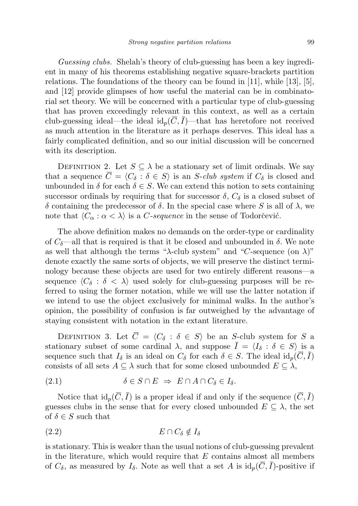Guessing clubs. Shelah's theory of club-guessing has been a key ingredient in many of his theorems establishing negative square-brackets partition relations. The foundations of the theory can be found in [11], while [13], [5], and [12] provide glimpses of how useful the material can be in combinatorial set theory. We will be concerned with a particular type of club-guessing that has proven exceedingly relevant in this context, as well as a certain club-guessing ideal—the ideal  $id_p(\overline{C}, \overline{I})$ —that has heretofore not received as much attention in the literature as it perhaps deserves. This ideal has a fairly complicated definition, and so our initial discussion will be concerned with its description.

DEFINITION 2. Let  $S \subseteq \lambda$  be a stationary set of limit ordinals. We say that a sequence  $\overline{C} = \langle C_\delta : \delta \in S \rangle$  is an S-club system if  $C_\delta$  is closed and unbounded in  $\delta$  for each  $\delta \in S$ . We can extend this notion to sets containing successor ordinals by requiring that for successor  $\delta$ ,  $C_{\delta}$  is a closed subset of δ containing the predecessor of δ. In the special case where S is all of λ, we note that  $\langle C_\alpha : \alpha < \lambda \rangle$  is a C-sequence in the sense of Todorčević.

The above definition makes no demands on the order-type or cardinality of  $C_{\delta}$ —all that is required is that it be closed and unbounded in  $\delta$ . We note as well that although the terms "λ-club system" and "C-sequence (on  $\lambda$ )" denote exactly the same sorts of objects, we will preserve the distinct terminology because these objects are used for two entirely different reasons—a sequence  $\langle C_{\delta} : \delta \langle \lambda \rangle$  used solely for club-guessing purposes will be referred to using the former notation, while we will use the latter notation if we intend to use the object exclusively for minimal walks. In the author's opinion, the possibility of confusion is far outweighed by the advantage of staying consistent with notation in the extant literature.

DEFINITION 3. Let  $\overline{C} = \langle C_\delta : \delta \in S \rangle$  be an S-club system for S a stationary subset of some cardinal  $\lambda$ , and suppose  $\overline{I} = \langle I_{\delta} : \delta \in S \rangle$  is a sequence such that  $I_{\delta}$  is an ideal on  $C_{\delta}$  for each  $\delta \in S$ . The ideal  $id_p(\overline{C}, \overline{I})$ consists of all sets  $A \subseteq \lambda$  such that for some closed unbounded  $E \subseteq \lambda$ ,

(2.1) δ ∈ S ∩ E ⇒ E ∩ A ∩ C<sup>δ</sup> ∈ Iδ.

Notice that  $\mathrm{id}_p(\overline{C}, \overline{I})$  is a proper ideal if and only if the sequence  $(\overline{C}, \overline{I})$ guesses clubs in the sense that for every closed unbounded  $E \subseteq \lambda$ , the set of  $\delta \in S$  such that

$$
(2.2) \t\t\t\t E \cap C_{\delta} \notin I_{\delta}
$$

is stationary. This is weaker than the usual notions of club-guessing prevalent in the literature, which would require that  $E$  contains almost all members of  $C_{\delta}$ , as measured by  $I_{\delta}$ . Note as well that a set A is  $\mathrm{id}_{p}(\overline{C}, \overline{I})$ -positive if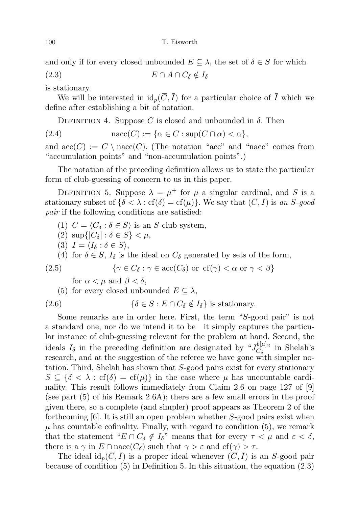and only if for every closed unbounded  $E \subseteq \lambda$ , the set of  $\delta \in S$  for which

(2.3)  $E \cap A \cap C_{\delta} \notin I_{\delta}$ 

is stationary.

We will be interested in  $id_p(\overline{C}, \overline{I})$  for a particular choice of  $\overline{I}$  which we define after establishing a bit of notation.

DEFINITION 4. Suppose C is closed and unbounded in  $\delta$ . Then

(2.4)  $\text{nacc}(C) := \{ \alpha \in C : \text{sup}(C \cap \alpha) < \alpha \},$ 

and  $\mathrm{acc}(C) := C \setminus \mathrm{nacc}(C)$ . (The notation "acc" and "nacc" comes from "accumulation points" and "non-accumulation points".)

The notation of the preceding definition allows us to state the particular form of club-guessing of concern to us in this paper.

DEFINITION 5. Suppose  $\lambda = \mu^+$  for  $\mu$  a singular cardinal, and S is a stationary subset of  $\{\delta < \lambda : \text{cf}(\delta) = \text{cf}(\mu)\}\)$ . We say that  $(\overline{C}, \overline{I})$  is an S-good pair if the following conditions are satisfied:

- (1)  $\overline{C} = \langle C_{\delta} : \delta \in S \rangle$  is an S-club system,
- (2)  $\sup\{|C_\delta| : \delta \in S\} < \mu$ ,
- (3)  $\overline{I} = \langle I_{\delta} : \delta \in S \rangle$ ,

(4) for  $\delta \in S$ ,  $I_{\delta}$  is the ideal on  $C_{\delta}$  generated by sets of the form,

(2.5) 
$$
\{ \gamma \in C_{\delta} : \gamma \in \text{acc}(C_{\delta}) \text{ or } \text{cf}(\gamma) < \alpha \text{ or } \gamma < \beta \}
$$

for  $\alpha < \mu$  and  $\beta < \delta$ ,

(5) for every closed unbounded  $E \subseteq \lambda$ ,

(2.6) 
$$
\{\delta \in S : E \cap C_{\delta} \notin I_{\delta}\} \text{ is stationary.}
$$

Some remarks are in order here. First, the term "S-good pair" is not a standard one, nor do we intend it to be—it simply captures the particular instance of club-guessing relevant for the problem at hand. Second, the ideals  $I_{\delta}$  in the preceding definition are designated by " $J_{C_{\delta}}^{b[\mu]}$  $C_{\delta}^{[0,\mu],\gamma}$  in Shelah's research, and at the suggestion of the referee we have gone with simpler notation. Third, Shelah has shown that S-good pairs exist for every stationary  $S \subseteq {\delta < \lambda : \text{cf}(\delta) = \text{cf}(\mu)}$  in the case where  $\mu$  has uncountable cardinality. This result follows immediately from Claim 2.6 on page 127 of [9] (see part (5) of his Remark 2.6A); there are a few small errors in the proof given there, so a complete (and simpler) proof appears as Theorem 2 of the forthcoming  $[6]$ . It is still an open problem whether S-good pairs exist when  $\mu$  has countable cofinality. Finally, with regard to condition (5), we remark that the statement " $E \cap C_{\delta} \notin I_{\delta}$ " means that for every  $\tau < \mu$  and  $\varepsilon < \delta$ , there is a  $\gamma$  in  $E \cap \text{nacc}(C_{\delta})$  such that  $\gamma > \varepsilon$  and  $cf(\gamma) > \tau$ .

The ideal id<sub>p</sub> $(\overline{C}, \overline{I})$  is a proper ideal whenever  $(\overline{C}, \overline{I})$  is an S-good pair because of condition (5) in Definition 5. In this situation, the equation (2.3)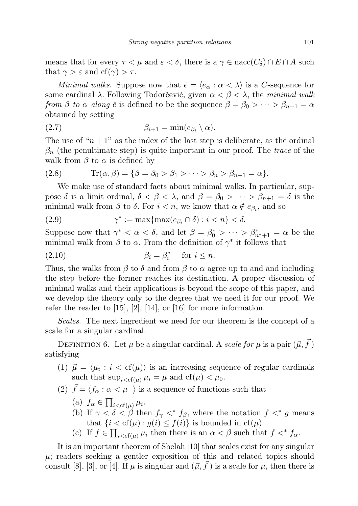means that for every  $\tau < \mu$  and  $\varepsilon < \delta$ , there is a  $\gamma \in \text{nacc}(\mathcal{C}_{\delta}) \cap E \cap A$  such that  $\gamma > \varepsilon$  and  $cf(\gamma) > \tau$ .

Minimal walks. Suppose now that  $\bar{e} = \langle e_{\alpha} : \alpha < \lambda \rangle$  is a C-sequence for some cardinal  $\lambda$ . Following Todorčević, given  $\alpha < \beta < \lambda$ , the minimal walk from  $\beta$  to  $\alpha$  along  $\bar{e}$  is defined to be the sequence  $\beta = \beta_0 > \cdots > \beta_{n+1} = \alpha$ obtained by setting

$$
\beta_{i+1} = \min(e_{\beta_i} \setminus \alpha).
$$

The use of " $n + 1$ " as the index of the last step is deliberate, as the ordinal  $\beta_n$  (the penultimate step) is quite important in our proof. The trace of the walk from  $\beta$  to  $\alpha$  is defined by

$$
(2.8) \tTr(\alpha, \beta) = {\beta = \beta_0 > \beta_1 > \cdots > \beta_n > \beta_{n+1} = \alpha}.
$$

We make use of standard facts about minimal walks. In particular, suppose  $\delta$  is a limit ordinal,  $\delta < \beta < \lambda$ , and  $\beta = \beta_0 > \cdots > \beta_{n+1} = \delta$  is the minimal walk from  $\beta$  to  $\delta$ . For  $i < n$ , we know that  $\alpha \notin e_{\beta_i}$ , and so

(2.9) 
$$
\gamma^* := \max\{\max(e_{\beta_i} \cap \delta) : i < n\} < \delta.
$$

Suppose now that  $\gamma^* < \alpha < \delta$ , and let  $\beta = \beta_0^* > \cdots > \beta_{n^*+1}^* = \alpha$  be the minimal walk from  $\beta$  to  $\alpha$ . From the definition of  $\gamma^*$  it follows that

(2.10) 
$$
\beta_i = \beta_i^* \quad \text{for } i \leq n.
$$

Thus, the walks from  $\beta$  to  $\delta$  and from  $\beta$  to  $\alpha$  agree up to and and including the step before the former reaches its destination. A proper discussion of minimal walks and their applications is beyond the scope of this paper, and we develop the theory only to the degree that we need it for our proof. We refer the reader to [15], [2], [14], or [16] for more information.

Scales. The next ingredient we need for our theorem is the concept of a scale for a singular cardinal.

DEFINITION 6. Let  $\mu$  be a singular cardinal. A scale for  $\mu$  is a pair  $(\vec{\mu}, \vec{f})$ satisfying

- (1)  $\vec{\mu} = \langle \mu_i : i < \text{cf}(\mu) \rangle$  is an increasing sequence of regular cardinals such that  $\sup_{i < cf(u)} \mu_i = \mu$  and  $cf(\mu) < \mu_0$ .
- (2)  $\vec{f} = \langle f_{\alpha} : \alpha < \mu^{+} \rangle$  is a sequence of functions such that
	- (a)  $f_{\alpha} \in \prod_{i < cf(\mu)} \mu_i$ .
	- (b) If  $\gamma < \delta < \beta$  then  $f_{\gamma} <^* f_{\beta}$ , where the notation  $f <^* g$  means that  $\{i < cf(\mu) : g(i) \leq f(i)\}\$ is bounded in  $cf(\mu)$ .
	- (c) If  $f \in \prod_{i < cf(\mu)} \mu_i$  then there is an  $\alpha < \beta$  such that  $f <^* f_\alpha$ .

It is an important theorem of Shelah [10] that scales exist for any singular  $\mu$ ; readers seeking a gentler exposition of this and related topics should consult [8], [3], or [4]. If  $\mu$  is singular and  $(\vec{\mu}, \vec{f})$  is a scale for  $\mu$ , then there is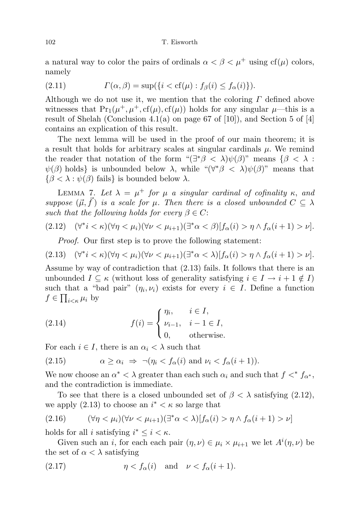## 102 T. Eisworth

a natural way to color the pairs of ordinals  $\alpha < \beta < \mu^+$  using cf( $\mu$ ) colors, namely

(2.11) 
$$
\Gamma(\alpha, \beta) = \sup\{i < \text{cf}(\mu) : f_{\beta}(i) \le f_{\alpha}(i)\}.
$$

Although we do not use it, we mention that the coloring  $\Gamma$  defined above witnesses that  $Pr_1(\mu^+, \mu^+, cf(\mu), cf(\mu))$  holds for any singular  $\mu$ —this is a result of Shelah (Conclusion 4.1(a) on page 67 of  $[10]$ ), and Section 5 of  $[4]$ contains an explication of this result.

The next lemma will be used in the proof of our main theorem; it is a result that holds for arbitrary scales at singular cardinals  $\mu$ . We remind the reader that notation of the form " $(\exists^*\beta < \lambda)\psi(\beta)$ " means  $\{\beta < \lambda :$  $\psi(\beta)$  holds is unbounded below  $\lambda$ , while " $(\forall^*\beta < \lambda)\psi(\beta)$ " means that  $\{\beta < \lambda : \psi(\beta) \text{ fails}\}\$ is bounded below  $\lambda$ .

LEMMA 7. Let  $\lambda = \mu^+$  for  $\mu$  a singular cardinal of cofinality  $\kappa$ , and suppose  $(\vec{\mu}, \vec{f})$  is a scale for  $\mu$ . Then there is a closed unbounded  $C \subseteq \lambda$ such that the following holds for every  $\beta \in C$ :

$$
(2.12) \quad (\forall^* i < \kappa)(\forall \eta < \mu_i)(\forall \nu < \mu_{i+1})(\exists^* \alpha < \beta)[f_\alpha(i) > \eta \wedge f_\alpha(i+1) > \nu].
$$

Proof. Our first step is to prove the following statement:

$$
(2.13) \quad (\forall^* i < \kappa)(\forall \eta < \mu_i)(\forall \nu < \mu_{i+1})(\exists^* \alpha < \lambda)[f_\alpha(i) > \eta \wedge f_\alpha(i+1) > \nu].
$$

Assume by way of contradiction that (2.13) fails. It follows that there is an unbounded  $I \subseteq \kappa$  (without loss of generality satisfying  $i \in I \to i + 1 \notin I$ ) such that a "bad pair"  $(\eta_i, \nu_i)$  exists for every  $i \in I$ . Define a function  $f \in \prod_{i \leq \kappa} \mu_i$  by

(2.14) 
$$
f(i) = \begin{cases} \eta_i, & i \in I, \\ \nu_{i-1}, & i-1 \in I, \\ 0, & \text{otherwise.} \end{cases}
$$

For each  $i \in I$ , there is an  $\alpha_i < \lambda$  such that

(2.15) 
$$
\alpha \ge \alpha_i \Rightarrow \neg(\eta_i < f_\alpha(i) \text{ and } \nu_i < f_\alpha(i+1)).
$$

We now choose an  $\alpha^* < \lambda$  greater than each such  $\alpha_i$  and such that  $f <^* f_{\alpha^*}$ , and the contradiction is immediate.

To see that there is a closed unbounded set of  $\beta < \lambda$  satisfying (2.12), we apply  $(2.13)$  to choose an  $i^* < \kappa$  so large that

(2.16) 
$$
(\forall \eta < \mu_i)(\forall \nu < \mu_{i+1})(\exists^* \alpha < \lambda)[f_\alpha(i) > \eta \wedge f_\alpha(i+1) > \nu]
$$

holds for all *i* satisfying  $i^* \leq i < \kappa$ .

Given such an *i*, for each each pair  $(\eta, \nu) \in \mu_i \times \mu_{i+1}$  we let  $A^i(\eta, \nu)$  be the set of  $\alpha < \lambda$  satisfying

(2.17) 
$$
\eta < f_{\alpha}(i) \quad \text{and} \quad \nu < f_{\alpha}(i+1).
$$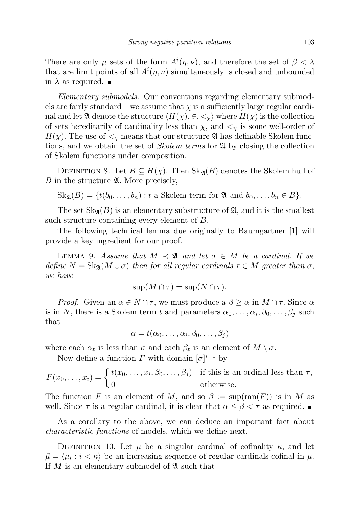There are only  $\mu$  sets of the form  $A^{i}(\eta,\nu)$ , and therefore the set of  $\beta < \lambda$ that are limit points of all  $A^{i}(\eta,\nu)$  simultaneously is closed and unbounded in  $\lambda$  as required.  $\blacksquare$ 

Elementary submodels. Our conventions regarding elementary submodels are fairly standard—we assume that  $\chi$  is a sufficiently large regular cardinal and let  $\mathfrak A$  denote the structure  $\langle H(\chi), \in, \leq \chi \rangle$  where  $H(\chi)$  is the collection of sets hereditarily of cardinality less than  $\chi$ , and  $\langle \chi \rangle$  is some well-order of  $H(\chi)$ . The use of  $\lt_{\chi}$  means that our structure  $\mathfrak A$  has definable Skolem functions, and we obtain the set of Skolem terms for A by closing the collection of Skolem functions under composition.

DEFINITION 8. Let  $B \subseteq H(\chi)$ . Then  $\text{Sk}_{\mathfrak{A}}(B)$  denotes the Skolem hull of B in the structure  $\mathfrak{A}$ . More precisely,

$$
Sk_{\mathfrak{A}}(B) = \{t(b_0, \ldots, b_n) : t \text{ a Skolem term for } \mathfrak{A} \text{ and } b_0, \ldots, b_n \in B\}.
$$

The set  $\text{Sk}_{\mathfrak{A}}(B)$  is an elementary substructure of  $\mathfrak{A}$ , and it is the smallest such structure containing every element of B.

The following technical lemma due originally to Baumgartner [1] will provide a key ingredient for our proof.

LEMMA 9. Assume that  $M \prec \mathfrak{A}$  and let  $\sigma \in M$  be a cardinal. If we define  $N = Sk_{\mathfrak{A}}(M \cup \sigma)$  then for all regular cardinals  $\tau \in M$  greater than  $\sigma$ , we have

$$
\sup(M \cap \tau) = \sup(N \cap \tau).
$$

*Proof.* Given an  $\alpha \in N \cap \tau$ , we must produce a  $\beta \geq \alpha$  in  $M \cap \tau$ . Since  $\alpha$ is in N, there is a Skolem term t and parameters  $\alpha_0, \ldots, \alpha_i, \beta_0, \ldots, \beta_j$  such that

 $\alpha = t(\alpha_0, \ldots, \alpha_i, \beta_0, \ldots, \beta_j)$ 

where each  $\alpha_{\ell}$  is less than  $\sigma$  and each  $\beta_{\ell}$  is an element of  $M \setminus \sigma$ .

Now define a function F with domain  $[\sigma]^{i+1}$  by

$$
F(x_0, \ldots, x_i) = \begin{cases} t(x_0, \ldots, x_i, \beta_0, \ldots, \beta_j) & \text{if this is an ordinal less than } \tau, \\ 0 & \text{otherwise.} \end{cases}
$$

The function F is an element of M, and so  $\beta := \sup(\text{ran}(F))$  is in M as well. Since  $\tau$  is a regular cardinal, it is clear that  $\alpha \leq \beta < \tau$  as required.

As a corollary to the above, we can deduce an important fact about characteristic functions of models, which we define next.

DEFINITION 10. Let  $\mu$  be a singular cardinal of cofinality  $\kappa$ , and let  $\vec{\mu} = \langle \mu_i : i \langle \kappa \rangle$  be an increasing sequence of regular cardinals cofinal in  $\mu$ . If  $M$  is an elementary submodel of  $\mathfrak A$  such that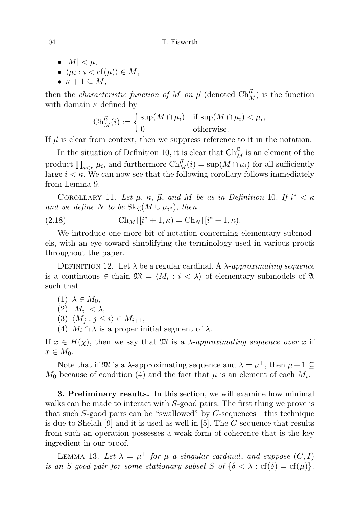- $|M| < \mu$ ,
- $\bullet \ \langle \mu_i : i < \text{cf}(\mu) \rangle \in M,$
- $\kappa + 1 \subseteq M$ ,

then the *characteristic function of* M on  $\vec{\mu}$  (denoted  $Ch_{M}^{\vec{\mu}}$ ) is the function with domain  $\kappa$  defined by

$$
\mathrm{Ch}_M^{\vec{\mu}}(i) := \begin{cases} \sup(M \cap \mu_i) & \text{if } \sup(M \cap \mu_i) < \mu_i, \\ 0 & \text{otherwise.} \end{cases}
$$

If  $\vec{\mu}$  is clear from context, then we suppress reference to it in the notation.

In the situation of Definition 10, it is clear that  $\text{Ch}^{\vec{\mu}}_M$  is an element of the product  $\prod_{i<\kappa}\mu_i$ , and furthermore  $\mathrm{Ch}_M^{\vec{\mu}}(i) = \sup(M \cap \mu_i)$  for all sufficiently large  $i \leq \kappa$ . We can now see that the following corollary follows immediately from Lemma 9.

COROLLARY 11. Let  $\mu$ ,  $\kappa$ ,  $\vec{\mu}$ , and M be as in Definition 10. If  $i^* < \kappa$ and we define N to be  $\text{Sk}_{\mathfrak{A}}(M \cup \mu_{i^*}),$  then

(2.18) 
$$
\operatorname{Ch}_M\left[\left(i^*+1,\kappa\right)=\operatorname{Ch}_N\left[\left(i^*+1,\kappa\right)\right].
$$

We introduce one more bit of notation concerning elementary submodels, with an eye toward simplifying the terminology used in various proofs throughout the paper.

DEFINITION 12. Let  $\lambda$  be a regular cardinal. A  $\lambda$ -approximating sequence is a continuous  $\in$ -chain  $\mathfrak{M} = \langle M_i : i \langle \lambda \rangle$  of elementary submodels of  $\mathfrak{A}$ such that

$$
(1) \ \lambda \in M_0,
$$

$$
(2) |M_i| < \lambda,
$$

- (3)  $\langle M_j : j \leq i \rangle \in M_{i+1},$
- (4)  $M_i \cap \lambda$  is a proper initial segment of  $\lambda$ .

If  $x \in H(\chi)$ , then we say that M is a  $\lambda$ -approximating sequence over x if  $x \in M_0$ .

Note that if  $\mathfrak{M}$  is a  $\lambda$ -approximating sequence and  $\lambda = \mu^+$ , then  $\mu + 1 \subseteq$  $M_0$  because of condition (4) and the fact that  $\mu$  is an element of each  $M_i$ .

3. Preliminary results. In this section, we will examine how minimal walks can be made to interact with S-good pairs. The first thing we prove is that such  $S$ -good pairs can be "swallowed" by  $C$ -sequences—this technique is due to Shelah [9] and it is used as well in [5]. The C-sequence that results from such an operation possesses a weak form of coherence that is the key ingredient in our proof.

LEMMA 13. Let  $\lambda = \mu^+$  for  $\mu$  a singular cardinal, and suppose  $(\overline{C}, \overline{I})$ is an S-good pair for some stationary subset S of  $\{\delta < \lambda : cf(\delta) = cf(\mu)\}.$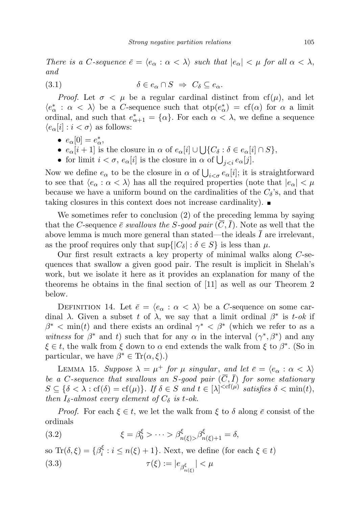There is a C-sequence  $\bar{e} = \langle e_{\alpha} : \alpha < \lambda \rangle$  such that  $|e_{\alpha}| < \mu$  for all  $\alpha < \lambda$ , and

(3.1) 
$$
\delta \in e_{\alpha} \cap S \implies C_{\delta} \subseteq e_{\alpha}.
$$

*Proof.* Let  $\sigma < \mu$  be a regular cardinal distinct from cf( $\mu$ ), and let  $\langle e^*_\alpha : \alpha < \lambda \rangle$  be a C-sequence such that  $otp(e^*_\alpha) = cf(\alpha)$  for  $\alpha$  a limit ordinal, and such that  $e^*_{\alpha+1} = {\alpha}$ . For each  $\alpha < \lambda$ , we define a sequence  $\langle e_{\alpha}[i] : i < \sigma \rangle$  as follows:

- $e_{\alpha}[0] = e_{\alpha}^*$ ,
- $e_{\alpha}[i+1]$  is the closure in  $\alpha$  of  $e_{\alpha}[i] \cup \bigcup \{C_{\delta} : \delta \in e_{\alpha}[i] \cap S\},\$
- for limit  $i < \sigma$ ,  $e_{\alpha}[i]$  is the closure in  $\alpha$  of  $\bigcup_{j < i} e_{\alpha}[j]$ .

Now we define  $e_{\alpha}$  to be the closure in  $\alpha$  of  $\bigcup_{i<\sigma}e_{\alpha}[i]$ ; it is straightforward to see that  $\langle e_\alpha : \alpha < \lambda \rangle$  has all the required properties (note that  $|e_\alpha| < \mu$ because we have a uniform bound on the cardinalities of the  $C_{\delta}$ 's, and that taking closures in this context does not increase cardinality).

We sometimes refer to conclusion (2) of the preceding lemma by saying that the C-sequence  $\bar{e}$  swallows the S-good pair  $(\bar{C}, I)$ . Note as well that the above lemma is much more general than stated—the ideals  $\overline{I}$  are irrelevant, as the proof requires only that  $\sup\{|C_\delta| : \delta \in S\}$  is less than  $\mu$ .

Our first result extracts a key property of minimal walks along C-sequences that swallow a given good pair. The result is implicit in Shelah's work, but we isolate it here as it provides an explanation for many of the theorems he obtains in the final section of [11] as well as our Theorem 2 below.

DEFINITION 14. Let  $\bar{e} = \langle e_{\alpha} : \alpha \langle \lambda \rangle$  be a C-sequence on some cardinal  $\lambda$ . Given a subset t of  $\lambda$ , we say that a limit ordinal  $\beta^*$  is t-ok if  $\beta^*$  < min(t) and there exists an ordinal  $\gamma^*$  <  $\beta^*$  (which we refer to as a witness for  $\beta^*$  and t) such that for any  $\alpha$  in the interval  $(\gamma^*, \beta^*)$  and any  $\xi \in t$ , the walk from  $\xi$  down to  $\alpha$  end extends the walk from  $\xi$  to  $\beta^*$ . (So in particular, we have  $\beta^* \in \text{Tr}(\alpha, \xi)$ .)

LEMMA 15. Suppose  $\lambda = \mu^+$  for  $\mu$  singular, and let  $\bar{e} = \langle e_\alpha : \alpha < \lambda \rangle$ be a C-sequence that swallows an S-good pair  $(\overline{C}, \overline{I})$  for some stationary  $S \subseteq {\delta < \lambda : \text{cf}(\delta) = \text{cf}(\mu)}$ . If  $\delta \in S$  and  $t \in [\lambda]^{<\text{cf}(\mu)}$  satisfies  $\delta < \min(t)$ , then  $I_{\delta}$ -almost every element of  $C_{\delta}$  is t-ok.

*Proof.* For each  $\xi \in t$ , we let the walk from  $\xi$  to  $\delta$  along  $\bar{e}$  consist of the ordinals

(3.2) 
$$
\xi = \beta_0^{\xi} > \cdots > \beta_{n(\xi)}^{\xi} > \beta_{n(\xi)+1}^{\xi} = \delta,
$$

so Tr $(\delta,\xi) = {\beta_i^{\xi}}$  $i \in i \leq n(\xi) + 1$ . Next, we define (for each  $\xi \in t$ ) (3.3)  $\tau(\xi) := |e_{\beta_{n(\xi)}^{\xi}}| < \mu$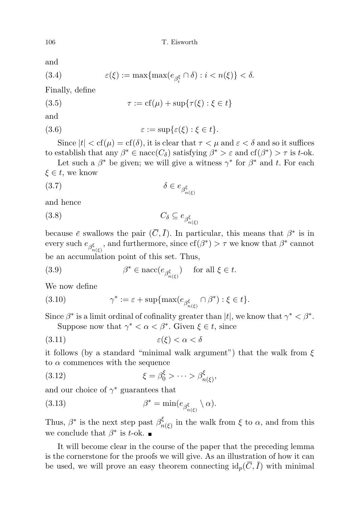and

(3.4) 
$$
\varepsilon(\xi) := \max\{\max(e_{\beta_i^{\xi}} \cap \delta) : i < n(\xi)\} < \delta.
$$

Finally, define

$$
(3.5) \qquad \qquad \tau := \text{cf}(\mu) + \sup\{\tau(\xi) : \xi \in t\}
$$

and

(3.6) 
$$
\varepsilon := \sup \{ \varepsilon(\xi) : \xi \in t \}.
$$

Since  $|t| < cf(\mu) = cf(\delta)$ , it is clear that  $\tau < \mu$  and  $\varepsilon < \delta$  and so it suffices to establish that any  $\beta^* \in \text{nacc}(C_\delta)$  satisfying  $\beta^* > \varepsilon$  and  $cf(\beta^*) > \tau$  is t-ok.

Let such a  $\beta^*$  be given; we will give a witness  $\gamma^*$  for  $\beta^*$  and t. For each  $\xi \in t$ , we know

$$
\delta \in e_{\beta_{n(\xi)}^{\xi}}
$$

and hence

$$
(3.8) \tC_{\delta} \subseteq e_{\beta_{n(\xi)}^{\xi}}
$$

because  $\bar{e}$  swallows the pair  $(\bar{C}, \bar{I})$ . In particular, this means that  $\beta^*$  is in every such  $e_{\beta_{n(\xi)}^{\xi}}$ , and furthermore, since  $cf(\beta^*) > \tau$  we know that  $\beta^*$  cannot be an accumulation point of this set. Thus,

(3.9) 
$$
\beta^* \in \operatorname{nacc}(e_{\beta_{n(\xi)}^{\xi}}) \quad \text{ for all } \xi \in t.
$$

We now define

(3.10) 
$$
\gamma^* := \varepsilon + \sup \{ \max(e_{\beta_{n(\xi)}^{\xi}} \cap \beta^*) : \xi \in t \}.
$$

Since  $\beta^*$  is a limit ordinal of cofinality greater than  $|t|$ , we know that  $\gamma^* < \beta^*$ . Suppose now that  $\gamma^* < \alpha < \beta^*$ . Given  $\xi \in t$ , since

$$
(3.11)\qquad \qquad \varepsilon(\xi) < \alpha < \delta
$$

it follows (by a standard "minimal walk argument") that the walk from  $\xi$ to  $\alpha$  commences with the sequence

(3.12) 
$$
\xi = \beta_0^{\xi} > \cdots > \beta_{n(\xi)}^{\xi},
$$

and our choice of  $\gamma^*$  guarantees that

(3.13) 
$$
\beta^* = \min(e_{\beta_{n(\xi)}^{\xi}} \setminus \alpha).
$$

Thus,  $\beta^*$  is the next step past  $\beta^{\xi}_n$  $\zeta_{n(\xi)}^{\xi}$  in the walk from  $\xi$  to  $\alpha$ , and from this we conclude that  $\beta^*$  is t-ok.

It will become clear in the course of the paper that the preceding lemma is the cornerstone for the proofs we will give. As an illustration of how it can be used, we will prove an easy theorem connecting  $\mathrm{id}_p(\overline{C}, \overline{I})$  with minimal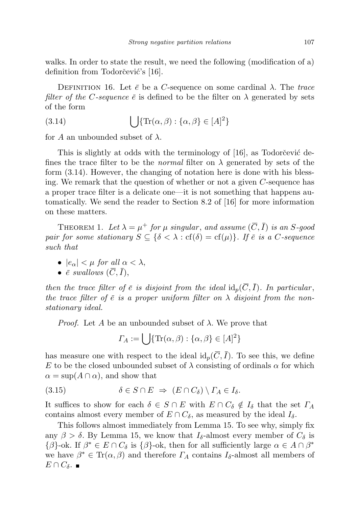walks. In order to state the result, we need the following (modification of a) definition from Todorčević's [16].

DEFINITION 16. Let  $\bar{e}$  be a C-sequence on some cardinal  $\lambda$ . The trace filter of the C-sequence  $\bar{e}$  is defined to be the filter on  $\lambda$  generated by sets of the form

(3.14) 
$$
\bigcup \{ \text{Tr}(\alpha, \beta) : \{\alpha, \beta\} \in [A]^2 \}
$$

for A an unbounded subset of  $\lambda$ .

This is slightly at odds with the terminology of [16], as Todorcevic defines the trace filter to be the *normal* filter on  $\lambda$  generated by sets of the form (3.14). However, the changing of notation here is done with his blessing. We remark that the question of whether or not a given C-sequence has a proper trace filter is a delicate one—it is not something that happens automatically. We send the reader to Section 8.2 of [16] for more information on these matters.

THEOREM 1. Let  $\lambda = \mu^+$  for  $\mu$  singular, and assume  $(\overline{C}, \overline{I})$  is an S-good pair for some stationary  $S \subseteq \{ \delta < \lambda : \text{cf}(\delta) = \text{cf}(\mu) \}$ . If  $\overline{e}$  is a C-sequence such that

• 
$$
|e_{\alpha}| < \mu
$$
 for all  $\alpha < \lambda$ ,

•  $\bar{e}$  swallows  $(\bar{C}, \bar{I}),$ 

then the trace filter of  $\bar{e}$  is disjoint from the ideal  $\mathrm{id}_{p}(\overline{C}, \overline{I})$ . In particular, the trace filter of  $\bar{e}$  is a proper uniform filter on  $\lambda$  disjoint from the nonstationary ideal.

*Proof.* Let A be an unbounded subset of  $\lambda$ . We prove that

$$
\Gamma_A := \bigcup \{ \text{Tr}(\alpha, \beta) : \{ \alpha, \beta \} \in [A]^2 \}
$$

has measure one with respect to the ideal  $\mathrm{id}_p(\overline{C}, \overline{I})$ . To see this, we define E to be the closed unbounded subset of  $\lambda$  consisting of ordinals  $\alpha$  for which  $\alpha = \sup(A \cap \alpha)$ , and show that

$$
(3.15) \t\t \delta \in S \cap E \Rightarrow (E \cap C_{\delta}) \setminus \Gamma_A \in I_{\delta}.
$$

It suffices to show for each  $\delta \in S \cap E$  with  $E \cap C_{\delta} \notin I_{\delta}$  that the set  $\Gamma_A$ contains almost every member of  $E \cap C_{\delta}$ , as measured by the ideal  $I_{\delta}$ .

This follows almost immediately from Lemma 15. To see why, simply fix any  $\beta > \delta$ . By Lemma 15, we know that  $I_{\delta}$ -almost every member of  $C_{\delta}$  is  $\{\beta\}$ -ok. If  $\beta^* \in E \cap C_\delta$  is  $\{\beta\}$ -ok, then for all sufficiently large  $\alpha \in A \cap \beta^*$ we have  $\beta^* \in \text{Tr}(\alpha, \beta)$  and therefore  $\Gamma_A$  contains  $I_{\delta}$ -almost all members of  $E \cap C_{\delta}$ .  $\blacksquare$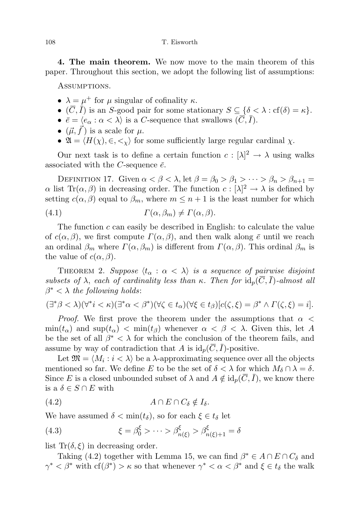4. The main theorem. We now move to the main theorem of this paper. Throughout this section, we adopt the following list of assumptions:

Assumptions.

- $\lambda = \mu^+$  for  $\mu$  singular of cofinality  $\kappa$ .
- $(\overline{C}, \overline{I})$  is an S-good pair for some stationary  $S \subseteq \{ \delta \lt \lambda : \text{cf}(\delta) = \kappa \}.$
- $\bar{e} = \langle e_{\alpha} : \alpha < \lambda \rangle$  is a C-sequence that swallows  $(\overline{C}, \overline{I}).$
- $(\vec{\mu}, f)$  is a scale for  $\mu$ .
- $\mathfrak{A} = \langle H(\chi), \in, \lt_{\chi} \rangle$  for some sufficiently large regular cardinal  $\chi$ .

Our next task is to define a certain function  $c: [\lambda]^2 \to \lambda$  using walks associated with the C-sequence  $\bar{e}$ .

DEFINITION 17. Given  $\alpha < \beta < \lambda$ , let  $\beta = \beta_0 > \beta_1 > \cdots > \beta_n > \beta_{n+1}$  $\alpha$  list Tr( $\alpha, \beta$ ) in decreasing order. The function  $c : [\lambda]^2 \to \lambda$  is defined by setting  $c(\alpha, \beta)$  equal to  $\beta_m$ , where  $m \leq n+1$  is the least number for which

(4.1) 
$$
\Gamma(\alpha,\beta_m) \neq \Gamma(\alpha,\beta).
$$

The function  $c$  can easily be described in English: to calculate the value of  $c(\alpha, \beta)$ , we first compute  $\Gamma(\alpha, \beta)$ , and then walk along  $\bar{e}$  until we reach an ordinal  $\beta_m$  where  $\Gamma(\alpha, \beta_m)$  is different from  $\Gamma(\alpha, \beta)$ . This ordinal  $\beta_m$  is the value of  $c(\alpha, \beta)$ .

THEOREM 2. Suppose  $\langle t_{\alpha} : \alpha < \lambda \rangle$  is a sequence of pairwise disjoint subsets of  $\lambda$ , each of cardinality less than  $\kappa$ . Then for  $id_p(\overline{C}, \overline{I})$ -almost all  $\beta^* < \lambda$  the following holds:

$$
(\exists^*\beta<\lambda)(\forall^*i<\kappa)(\exists^*\alpha<\beta^*)(\forall\zeta\in t_\alpha)(\forall\xi\in t_\beta)[c(\zeta,\xi)=\beta^*\wedge\Gamma(\zeta,\xi)=i].
$$

*Proof.* We first prove the theorem under the assumptions that  $\alpha$  $\min(t_{\alpha})$  and  $\sup(t_{\alpha}) < \min(t_{\beta})$  whenever  $\alpha < \beta < \lambda$ . Given this, let A be the set of all  $\beta^* < \lambda$  for which the conclusion of the theorem fails, and assume by way of contradiction that A is  $\mathrm{id}_p(\overline{C}, \overline{I})$ -positive.

Let  $\mathfrak{M} = \langle M_i : i \langle \lambda \rangle$  be a  $\lambda$ -approximating sequence over all the objects mentioned so far. We define E to be the set of  $\delta < \lambda$  for which  $M_{\delta} \cap \lambda = \delta$ . Since E is a closed unbounded subset of  $\lambda$  and  $A \notin id_p(\overline{C}, \overline{I})$ , we know there is a  $\delta \in S \cap E$  with

$$
(4.2) \t\t A \cap E \cap C_{\delta} \notin I_{\delta}.
$$

We have assumed  $\delta < \min(t_\delta)$ , so for each  $\xi \in t_\delta$  let

(4.3) 
$$
\xi = \beta_0^{\xi} > \cdots > \beta_{n(\xi)}^{\xi} > \beta_{n(\xi)+1}^{\xi} = \delta
$$

list Tr( $\delta, \xi$ ) in decreasing order.

Taking (4.2) together with Lemma 15, we can find  $\beta^* \in A \cap E \cap C_{\delta}$  and  $\gamma^* < \beta^*$  with  $cf(\beta^*) > \kappa$  so that whenever  $\gamma^* < \alpha < \beta^*$  and  $\xi \in t_\delta$  the walk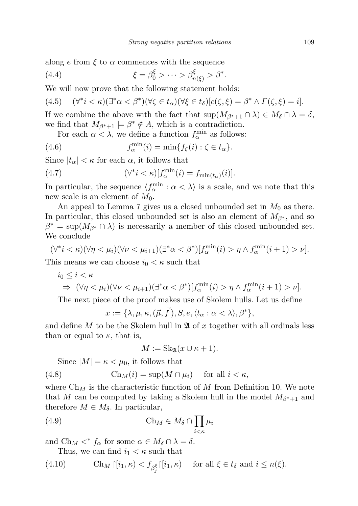along  $\bar{e}$  from  $\xi$  to  $\alpha$  commences with the sequence

(4.4) 
$$
\xi = \beta_0^{\xi} > \cdots > \beta_{n(\xi)}^{\xi} > \beta^*.
$$

We will now prove that the following statement holds:

$$
(4.5) \quad (\forall^* i < \kappa)(\exists^* \alpha < \beta^*)(\forall \zeta \in t_\alpha)(\forall \xi \in t_\delta)[c(\zeta, \xi) = \beta^* \land \Gamma(\zeta, \xi) = i].
$$

If we combine the above with the fact that  $\sup(M_{\beta^*+1} \cap \lambda) \in M_\delta \cap \lambda = \delta$ , we find that  $M_{\beta^*+1} \models \beta^* \notin A$ , which is a contradiction.

For each  $\alpha < \lambda$ , we define a function  $f_{\alpha}^{\min}$  as follows:

(4.6) 
$$
f_{\alpha}^{\min}(i) = \min\{f_{\zeta}(i) : \zeta \in t_{\alpha}\}.
$$

Since  $|t_{\alpha}| < \kappa$  for each  $\alpha$ , it follows that

(4.7) 
$$
(\forall^* i < \kappa)[f_\alpha^{\min}(i) = f_{\min(t_\alpha)}(i)].
$$

In particular, the sequence  $\langle f_{\alpha}^{\min} : \alpha \langle \lambda \rangle$  is a scale, and we note that this new scale is an element of  $M_0$ .

An appeal to Lemma 7 gives us a closed unbounded set in  $M_0$  as there. In particular, this closed unbounded set is also an element of  $M_{\beta^*}$ , and so  $\beta^* = \sup(M_{\beta^*} \cap \lambda)$  is necessarily a member of this closed unbounded set. We conclude

$$
(\forall^* i < \kappa)(\forall \eta < \mu_i)(\forall \nu < \mu_{i+1})(\exists^* \alpha < \beta^*)[f_{\alpha}^{\min}(i) > \eta \wedge f_{\alpha}^{\min}(i+1) > \nu].
$$
\nThis means we can choose  $i < \mu$  such that

This means we can choose  $i_0 < \kappa$  such that

$$
i_0 \leq i < \kappa
$$
\n
$$
\Rightarrow (\forall \eta < \mu_i)(\forall \nu < \mu_{i+1})(\exists^* \alpha < \beta^*)[f_{\alpha}^{\min}(i) > \eta \wedge f_{\alpha}^{\min}(i+1) > \nu].
$$

The next piece of the proof makes use of Skolem hulls. Let us define

$$
x := \{\lambda, \mu, \kappa, (\vec{\mu}, \vec{f}), S, \bar{e}, \langle t_\alpha : \alpha < \lambda \rangle, \beta^* \},
$$

and define  $M$  to be the Skolem hull in  $\mathfrak A$  of  $x$  together with all ordinals less than or equal to  $\kappa$ , that is,

$$
M := \operatorname{Sk}_{\mathfrak{A}}(x \cup \kappa + 1).
$$

Since  $|M| = \kappa < \mu_0$ , it follows that

(4.8) 
$$
\operatorname{Ch}_M(i) = \sup(M \cap \mu_i) \quad \text{for all } i < \kappa,
$$

where  $\mathrm{Ch}_M$  is the characteristic function of M from Definition 10. We note that M can be computed by taking a Skolem hull in the model  $M_{\beta^*+1}$  and therefore  $M \in M_{\delta}$ . In particular,

(4.9) 
$$
\operatorname{Ch}_M \in M_\delta \cap \prod_{i < \kappa} \mu_i
$$

and  $\text{Ch}_M <^* f_\alpha$  for some  $\alpha \in M_\delta \cap \lambda = \delta$ .

Thus, we can find  $i_1 < \kappa$  such that

(4.10) 
$$
\operatorname{Ch}_M\left\lceil [i_1,\kappa) < f_{\beta_j^\xi}\right\rceil [i_1,\kappa) \quad \text{ for all } \xi \in t_\delta \text{ and } i \le n(\xi).
$$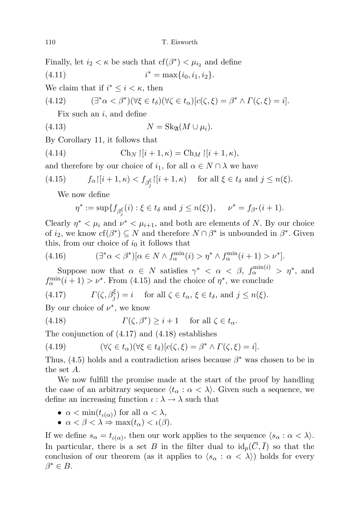Finally, let  $i_2 < \kappa$  be such that  $cf(\beta^*) < \mu_{i_2}$  and define

 $(4.11)$  $i^* = \max\{i_0, i_1, i_2\}.$ 

We claim that if  $i^* \leq i < \kappa$ , then

(4.12) 
$$
(\exists^*\alpha < \beta^*)(\forall\xi \in t_\delta)(\forall\zeta \in t_\alpha)[c(\zeta,\xi) = \beta^* \wedge \Gamma(\zeta,\xi) = i].
$$

Fix such an  $i$ , and define

$$
(4.13) \t\t N = Sk_{\mathfrak{A}}(M \cup \mu_i).
$$

By Corollary 11, it follows that

(4.14) 
$$
\operatorname{Ch}_N\restriction[i+1,\kappa) = \operatorname{Ch}_M\restriction[i+1,\kappa),
$$

and therefore by our choice of  $i_1$ , for all  $\alpha \in N \cap \lambda$  we have

(4.15) 
$$
f_{\alpha}\left[\left[i+1,\kappa\right)<\right f_{\beta_j^{\xi}}\left[\left[i+1,\kappa\right)]\right]
$$
 for all  $\xi \in t_{\delta}$  and  $j \leq n(\xi)$ .

We now define

$$
\eta^* := \sup \{ f_{\beta_j^{\xi}}(i) : \xi \in t_{\delta} \text{ and } j \le n(\xi) \}, \quad \nu^* = f_{\beta^*}(i+1).
$$

Clearly  $\eta^* < \mu_i$  and  $\nu^* < \mu_{i+1}$ , and both are elements of N. By our choice of  $i_2$ , we know  $cf(\beta^*) \subseteq N$  and therefore  $N \cap \beta^*$  is unbounded in  $\beta^*$ . Given this, from our choice of  $i_0$  it follows that

(4.16) 
$$
(\exists^*\alpha<\beta^*)[\alpha\in N\wedge f_\alpha^{\min}(i)>\eta^*\wedge f_\alpha^{\min}(i+1)>\nu^*].
$$

Suppose now that  $\alpha \in N$  satisfies  $\gamma^* < \alpha < \beta$ ,  $f_{\alpha}^{\min(i)} > \eta^*$ , and  $f_{\alpha}^{\min}(i+1) > \nu^*$ . From (4.15) and the choice of  $\eta^*$ , we conclude

(4.17) 
$$
\Gamma(\zeta, \beta_j^{\xi}) = i \quad \text{ for all } \zeta \in t_{\alpha}, \xi \in t_{\delta}, \text{ and } j \le n(\xi).
$$

By our choice of  $\nu^*$ , we know

(4.18) 
$$
\Gamma(\zeta, \beta^*) \geq i+1 \quad \text{for all } \zeta \in t_\alpha.
$$

The conjunction of (4.17) and (4.18) establishes

(4.19) 
$$
(\forall \zeta \in t_\alpha)(\forall \xi \in t_\delta)[c(\zeta, \xi) = \beta^* \wedge \Gamma(\zeta, \xi) = i].
$$

Thus,  $(4.5)$  holds and a contradiction arises because  $\beta^*$  was chosen to be in the set A.

We now fulfill the promise made at the start of the proof by handling the case of an arbitrary sequence  $\langle t_\alpha : \alpha < \lambda \rangle$ . Given such a sequence, we define an increasing function  $\iota : \lambda \to \lambda$  such that

- $\alpha < \min(t_{\iota(\alpha)})$  for all  $\alpha < \lambda$ ,
- $\alpha < \beta < \lambda \Rightarrow \max(t_\alpha) < \iota(\beta)$ .

If we define  $s_{\alpha} = t_{\iota(\alpha)}$ , then our work applies to the sequence  $\langle s_{\alpha} : \alpha < \lambda \rangle$ . In particular, there is a set B in the filter dual to  $id_p(\overline{C}, \overline{I})$  so that the conclusion of our theorem (as it applies to  $\langle s_{\alpha} : \alpha < \lambda \rangle$ ) holds for every  $\beta^* \in B$ .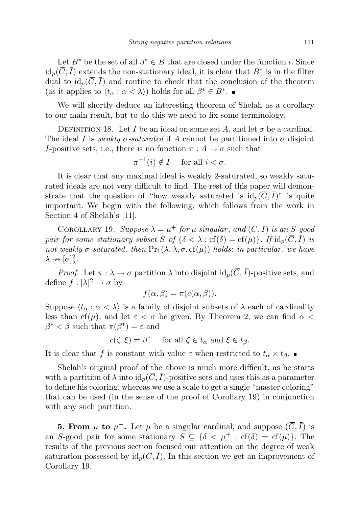Let  $B^*$  be the set of all  $\beta^* \in B$  that are closed under the function  $\iota$ . Since  $\mathrm{id}_p(\overline{C}, \overline{I})$  extends the non-stationary ideal, it is clear that  $B^*$  is in the filter dual to  $\mathrm{id}_p(\overline{C}, \overline{I})$  and routine to check that the conclusion of the theorem (as it applies to  $\langle t_\alpha : \alpha < \lambda \rangle$ ) holds for all  $\beta^* \in B^*$ .

We will shortly deduce an interesting theorem of Shelah as a corollary to our main result, but to do this we need to fix some terminology.

DEFINITION 18. Let I be an ideal on some set A, and let  $\sigma$  be a cardinal. The ideal I is weakly  $\sigma$ -saturated if A cannot be partitioned into  $\sigma$  disjoint I-positive sets, i.e., there is no function  $\pi : A \to \sigma$  such that

$$
\pi^{-1}(i) \notin I \quad \text{ for all } i < \sigma.
$$

It is clear that any maximal ideal is weakly 2-saturated, so weakly saturated ideals are not very difficult to find. The rest of this paper will demonstrate that the question of "how weakly saturated is  $id_p(\overline{C}, \overline{I})$ " is quite important. We begin with the following, which follows from the work in Section 4 of Shelah's [11].

COROLLARY 19. Suppose  $\lambda = \mu^+$  for  $\mu$  singular, and  $(\overline{C}, \overline{I})$  is an S-good pair for some stationary subset S of  $\{\delta < \lambda : \text{cf}(\delta) = \text{cf}(\mu)\}\$ . If  $\text{id}_p(\overline{C}, \overline{I})$  is not weakly  $\sigma$ -saturated, then  $Pr_1(\lambda, \lambda, \sigma, cf(\mu))$  holds; in particular, we have  $\lambda \nrightarrow [\sigma]_{\lambda}^2.$ 

*Proof.* Let  $\pi : \lambda \to \sigma$  partition  $\lambda$  into disjoint  $\mathrm{id}_p(\overline{C}, \overline{I})$ -positive sets, and define  $f : [\lambda]^2 \to \sigma$  by

$$
f(\alpha, \beta) = \pi(c(\alpha, \beta)).
$$

Suppose  $\langle t_{\alpha} : \alpha \langle \lambda \rangle$  is a family of disjoint subsets of  $\lambda$  each of cardinality less than cf( $\mu$ ), and let  $\varepsilon < \sigma$  be given. By Theorem 2, we can find  $\alpha <$  $\beta^* < \beta$  such that  $\pi(\beta^*) = \varepsilon$  and

$$
c(\zeta,\xi) = \beta^* \quad \text{ for all } \zeta \in t_\alpha \text{ and } \xi \in t_\beta.
$$

It is clear that f is constant with value  $\varepsilon$  when restricted to  $t_{\alpha} \times t_{\beta}$ .

Shelah's original proof of the above is much more difficult, as he starts with a partition of  $\lambda$  into  $\mathrm{id}_p(\overline{C}, \overline{I})$ -positive sets and uses this as a parameter to define his coloring, whereas we use a scale to get a single "master coloring" that can be used (in the sense of the proof of Corollary 19) in conjunction with any such partition.

**5. From**  $\mu$  to  $\mu^+$ . Let  $\mu$  be a singular cardinal, and suppose  $(\overline{C}, \overline{I})$  is an S-good pair for some stationary  $S \subseteq {\delta < \mu^+ : cf(\delta) = cf(\mu)}$ . The results of the previous section focused our attention on the degree of weak saturation possessed by  $id_p(\overline{C}, \overline{I})$ . In this section we get an improvement of Corollary 19.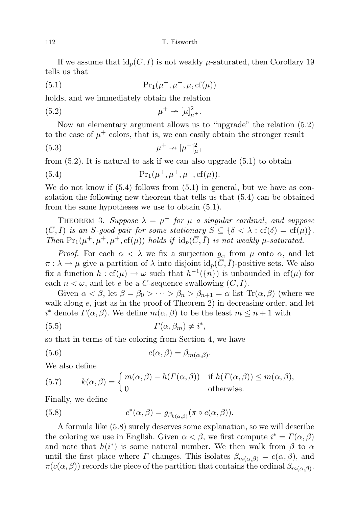If we assume that  $id_p(\overline{C}, \overline{I})$  is not weakly  $\mu$ -saturated, then Corollary 19 tells us that

$$
Pr1(\mu^+, \mu^+, \mu, cf(\mu))
$$

holds, and we immediately obtain the relation

$$
\mu^+ \nrightarrow [\mu]_{\mu^+}^2.
$$

Now an elementary argument allows us to "upgrade" the relation (5.2) to the case of  $\mu^+$  colors, that is, we can easily obtain the stronger result

$$
\mu^+ \nrightarrow [\mu^+]^2_{\mu^+}
$$

from  $(5.2)$ . It is natural to ask if we can also upgrade  $(5.1)$  to obtain

(5.4) 
$$
\Pr_1(\mu^+, \mu^+, \mu^+, \text{cf}(\mu)).
$$

We do not know if  $(5.4)$  follows from  $(5.1)$  in general, but we have as consolation the following new theorem that tells us that (5.4) can be obtained from the same hypotheses we use to obtain (5.1).

THEOREM 3. Suppose  $\lambda = \mu^+$  for  $\mu$  a singular cardinal, and suppose  $(\overline{C}, \overline{I})$  is an S-good pair for some stationary  $S \subseteq {\delta < \lambda : cf(\delta) = cf(\mu)}$ . Then  $Pr_1(\mu^+, \mu^+, \mu^+, \text{cf}(\mu))$  holds if  $id_p(\overline{C}, \overline{I})$  is not weakly  $\mu$ -saturated.

*Proof.* For each  $\alpha < \lambda$  we fix a surjection  $g_{\alpha}$  from  $\mu$  onto  $\alpha$ , and let  $\pi : \lambda \to \mu$  give a partition of  $\lambda$  into disjoint  $\mathrm{id}_p(\overline{C}, \overline{I})$ -positive sets. We also fix a function  $h : cf(\mu) \to \omega$  such that  $h^{-1}(\{n\})$  is unbounded in  $cf(\mu)$  for each  $n < \omega$ , and let  $\bar{e}$  be a C-sequence swallowing  $(\bar{C}, \bar{I})$ .

Given  $\alpha < \beta$ , let  $\beta = \beta_0 > \cdots > \beta_n > \beta_{n+1} = \alpha$  list  $\text{Tr}(\alpha, \beta)$  (where we walk along  $\bar{e}$ , just as in the proof of Theorem 2) in decreasing order, and let i<sup>\*</sup> denote  $\Gamma(\alpha, \beta)$ . We define  $m(\alpha, \beta)$  to be the least  $m \leq n+1$  with

(5.5) Γ(α, βm) 6= i ∗ ,

so that in terms of the coloring from Section 4, we have

(5.6) 
$$
c(\alpha, \beta) = \beta_{m(\alpha, \beta)}.
$$

We also define

(5.7) 
$$
k(\alpha, \beta) = \begin{cases} m(\alpha, \beta) - h(\Gamma(\alpha, \beta)) & \text{if } h(\Gamma(\alpha, \beta)) \le m(\alpha, \beta), \\ 0 & \text{otherwise.} \end{cases}
$$

Finally, we define

(5.8) 
$$
c^*(\alpha,\beta) = g_{\beta_{k(\alpha,\beta)}}(\pi \circ c(\alpha,\beta)).
$$

A formula like (5.8) surely deserves some explanation, so we will describe the coloring we use in English. Given  $\alpha < \beta$ , we first compute  $i^* = \Gamma(\alpha, \beta)$ and note that  $h(i^*)$  is some natural number. We then walk from  $\beta$  to  $\alpha$ until the first place where  $\Gamma$  changes. This isolates  $\beta_{m(\alpha,\beta)} = c(\alpha,\beta)$ , and  $\pi(c(\alpha,\beta))$  records the piece of the partition that contains the ordinal  $\beta_{m(\alpha,\beta)}$ .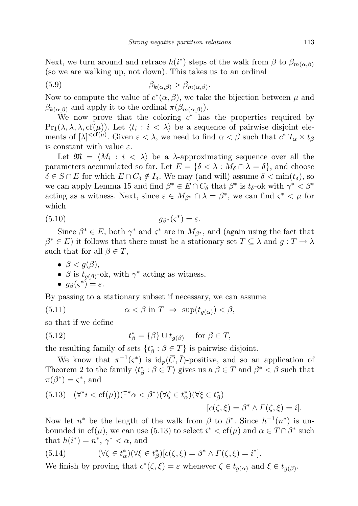Next, we turn around and retrace  $h(i^*)$  steps of the walk from  $\beta$  to  $\beta_{m(\alpha,\beta)}$ (so we are walking up, not down). This takes us to an ordinal

(5.9) 
$$
\beta_{k(\alpha,\beta)} > \beta_{m(\alpha,\beta)}.
$$

Now to compute the value of  $c^*(\alpha, \beta)$ , we take the bijection between  $\mu$  and  $\beta_{k(\alpha,\beta)}$  and apply it to the ordinal  $\pi(\beta_{m(\alpha,\beta)}).$ 

We now prove that the coloring  $c^*$  has the properties required by  $Pr_1(\lambda, \lambda, \lambda, cf(\mu))$ . Let  $\langle t_i : i \langle \lambda \rangle$  be a sequence of pairwise disjoint elements of  $[\lambda]^{<\text{cf}(\mu)}$ . Given  $\varepsilon < \lambda$ , we need to find  $\alpha < \beta$  such that  $c^*{\upharpoonright} t_\alpha \times t_\beta$ is constant with value  $\varepsilon$ .

Let  $\mathfrak{M} = \langle M_i : i \langle \lambda \rangle$  be a  $\lambda$ -approximating sequence over all the parameters accumulated so far. Let  $E = \{ \delta < \lambda : M_{\delta} \cap \lambda = \delta \}$ , and choose  $\delta \in S \cap E$  for which  $E \cap C_{\delta} \notin I_{\delta}$ . We may (and will) assume  $\delta < \min(t_{\delta})$ , so we can apply Lemma 15 and find  $\beta^* \in E \cap C_\delta$  that  $\beta^*$  is  $t_\delta$ -ok with  $\gamma^* < \beta^*$ acting as a witness. Next, since  $\varepsilon \in M_{\beta^*} \cap \lambda = \beta^*$ , we can find  $\varsigma^* < \mu$  for which

$$
(5.10) \t\t\t g_{\beta^*}(\varsigma^*) = \varepsilon.
$$

Since  $\beta^* \in E$ , both  $\gamma^*$  and  $\zeta^*$  are in  $M_{\beta^*}$ , and (again using the fact that  $\beta^* \in E$ ) it follows that there must be a stationary set  $T \subseteq \lambda$  and  $g: T \to \lambda$ such that for all  $\beta \in T$ ,

- $\bullet$   $\beta < g(\beta)$ ,
- $\beta$  is  $t_{g(\beta)}$ -ok, with  $\gamma^*$  acting as witness,

• 
$$
g_{\beta}(\varsigma^*) = \varepsilon
$$
.

By passing to a stationary subset if necessary, we can assume

(5.11) 
$$
\alpha < \beta \text{ in } T \Rightarrow \sup(t_{g(\alpha)}) < \beta,
$$

so that if we define

(5.12) 
$$
t_{\beta}^* = {\beta} \cup t_{g(\beta)} \quad \text{for } \beta \in T,
$$

the resulting family of sets  $\{t^*_{\beta} : \beta \in T\}$  is pairwise disjoint.

We know that  $\pi^{-1}(\zeta^*)$  is  $\mathrm{id}_p(\overline{C}, \overline{I})$ -positive, and so an application of Theorem 2 to the family  $\langle t^*_{\beta} : \beta \in T \rangle$  gives us a  $\beta \in T$  and  $\beta^* < \beta$  such that  $\pi(\beta^*) = \varsigma^*$ , and

(5.13) 
$$
(\forall^* i < \text{cf}(\mu))(\exists^* \alpha < \beta^*)(\forall \zeta \in t^*_{\alpha})(\forall \xi \in t^*_{\beta})
$$
\n
$$
[c(\zeta, \xi) = \beta^* \land \Gamma(\zeta, \xi) = i].
$$

Now let  $n^*$  be the length of the walk from  $\beta$  to  $\beta^*$ . Since  $h^{-1}(n^*)$  is unbounded in cf( $\mu$ ), we can use (5.13) to select  $i^* < \text{cf}(\mu)$  and  $\alpha \in T \cap \beta^*$  such that  $h(i^*) = n^*, \gamma^* < \alpha$ , and

(5.14) 
$$
(\forall \zeta \in t^*_{\alpha})(\forall \xi \in t^*_{\beta})[c(\zeta, \xi) = \beta^* \wedge \Gamma(\zeta, \xi) = i^*].
$$

We finish by proving that  $c^*(\zeta,\xi) = \varepsilon$  whenever  $\zeta \in t_{g(\alpha)}$  and  $\xi \in t_{g(\beta)}$ .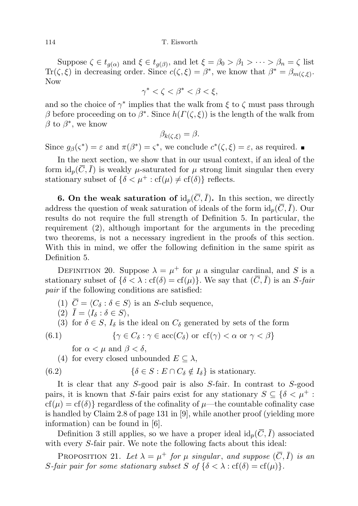Suppose  $\zeta \in t_{g(\alpha)}$  and  $\xi \in t_{g(\beta)}$ , and let  $\xi = \beta_0 > \beta_1 > \cdots > \beta_n = \zeta$  list Tr( $\zeta, \xi$ ) in decreasing order. Since  $c(\zeta, \xi) = \beta^*$ , we know that  $\beta^* = \beta_{m(\zeta, \xi)}$ . Now

$$
\gamma^* < \zeta < \beta^* < \beta < \xi,
$$

and so the choice of  $\gamma^*$  implies that the walk from  $\xi$  to  $\zeta$  must pass through β before proceeding on to  $\beta^*$ . Since  $h(\Gamma(\zeta,\xi))$  is the length of the walk from  $\beta$  to  $\beta^*$ , we know

$$
\beta_{k(\zeta,\xi)} = \beta.
$$

Since  $g_{\beta}(\varsigma^*) = \varepsilon$  and  $\pi(\beta^*) = \varsigma^*$ , we conclude  $c^*(\zeta, \xi) = \varepsilon$ , as required.

In the next section, we show that in our usual context, if an ideal of the form  $id_p(C, I)$  is weakly  $\mu$ -saturated for  $\mu$  strong limit singular then every stationary subset of  $\{\delta < \mu^+ : cf(\mu) \neq cf(\delta)\}\)$  reflects.

**6. On the weak saturation of**  $\mathrm{id}_p(\overline{C}, \overline{I})$ . In this section, we directly address the question of weak saturation of ideals of the form  $id_p(\overline{C}, \overline{I})$ . Our results do not require the full strength of Definition 5. In particular, the requirement (2), although important for the arguments in the preceding two theorems, is not a necessary ingredient in the proofs of this section. With this in mind, we offer the following definition in the same spirit as Definition 5.

DEFINITION 20. Suppose  $\lambda = \mu^+$  for  $\mu$  a singular cardinal, and S is a stationary subset of  $\{\delta < \lambda : \text{cf}(\delta) = \text{cf}(\mu)\}\)$ . We say that  $(\overline{C}, \overline{I})$  is an S-fair pair if the following conditions are satisfied:

(1)  $\overline{C} = \langle C_{\delta} : \delta \in S \rangle$  is an S-club sequence,

$$
(2) \ \bar{I} = \langle I_{\delta} : \delta \in S \rangle,
$$

(3) for  $\delta \in S$ ,  $I_{\delta}$  is the ideal on  $C_{\delta}$  generated by sets of the form

(6.1) 
$$
\{ \gamma \in C_{\delta} : \gamma \in \text{acc}(C_{\delta}) \text{ or } \text{cf}(\gamma) < \alpha \text{ or } \gamma < \beta \}
$$

for  $\alpha < \mu$  and  $\beta < \delta$ ,

(4) for every closed unbounded  $E \subseteq \lambda$ ,

(6.2) 
$$
\{\delta \in S : E \cap C_{\delta} \notin I_{\delta}\} \text{ is stationary.}
$$

It is clear that any S-good pair is also S-fair. In contrast to S-good pairs, it is known that S-fair pairs exist for any stationary  $S \subseteq \{ \delta < \mu^+ :$  $cf(\mu) = cf(\delta)$  regardless of the cofinality of  $\mu$ —the countable cofinality case is handled by Claim 2.8 of page 131 in [9], while another proof (yielding more information) can be found in [6].

Definition 3 still applies, so we have a proper ideal  $id_p(\overline{C}, \overline{I})$  associated with every S-fair pair. We note the following facts about this ideal:

PROPOSITION 21. Let  $\lambda = \mu^+$  for  $\mu$  singular, and suppose  $(\overline{C}, \overline{I})$  is an S-fair pair for some stationary subset S of  $\{\delta < \lambda : \text{cf}(\delta) = \text{cf}(\mu)\}.$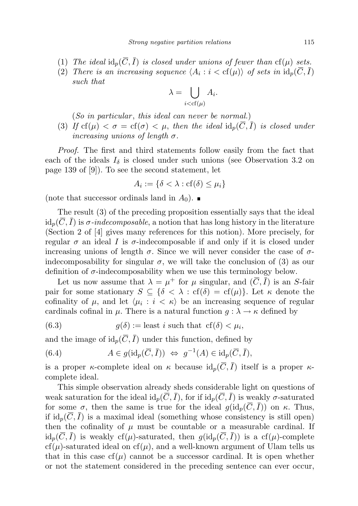- (1) The ideal  $\text{id}_p(\overline{C}, \overline{I})$  is closed under unions of fewer than  $cf(\mu)$  sets.
- (2) There is an increasing sequence  $\langle A_i : i < \text{cf}(\mu) \rangle$  of sets in  $\text{id}_p(C, I)$ such that

$$
\lambda = \bigcup_{i < \text{cf}(\mu)} A_i.
$$

 $(So \text{ in particular}, \text{ this ideal can never be normal.})$ 

(3) If  $cf(\mu) < \sigma = cf(\sigma) < \mu$ , then the ideal  $id_p(\overline{C}, \overline{I})$  is closed under increasing unions of length  $\sigma$ .

Proof. The first and third statements follow easily from the fact that each of the ideals  $I_{\delta}$  is closed under such unions (see Observation 3.2 on page 139 of [9]). To see the second statement, let

$$
A_i := \{ \delta < \lambda : \text{cf}(\delta) \le \mu_i \}
$$

(note that successor ordinals land in  $A_0$ ).

The result (3) of the preceding proposition essentially says that the ideal  $id_n(\overline{C}, \overline{I})$  is  $\sigma$ -indecomposable, a notion that has long history in the literature (Section 2 of [4] gives many references for this notion). More precisely, for regular  $\sigma$  an ideal I is  $\sigma$ -indecomposable if and only if it is closed under increasing unions of length  $\sigma$ . Since we will never consider the case of  $\sigma$ indecomposability for singular  $\sigma$ , we will take the conclusion of (3) as our definition of  $\sigma$ -indecomposability when we use this terminology below.

Let us now assume that  $\lambda = \mu^+$  for  $\mu$  singular, and  $(\overline{C}, \overline{I})$  is an S-fair pair for some stationary  $S \subseteq {\delta < \lambda : \text{cf}(\delta) = \text{cf}(\mu)}$ . Let  $\kappa$  denote the cofinality of  $\mu$ , and let  $\langle \mu_i : i \langle \kappa \rangle$  be an increasing sequence of regular cardinals cofinal in  $\mu$ . There is a natural function  $g : \lambda \to \kappa$  defined by

(6.3) 
$$
g(\delta) := \text{least } i \text{ such that } cf(\delta) < \mu_i,
$$

and the image of  $id_p(\overline{C}, \overline{I})$  under this function, defined by

(6.4) 
$$
A \in g(\mathrm{id}_p(\overline{C}, \overline{I})) \Leftrightarrow g^{-1}(A) \in \mathrm{id}_p(\overline{C}, \overline{I}),
$$

is a proper  $\kappa$ -complete ideal on  $\kappa$  because  $\mathrm{id}_p(\overline{C}, \overline{I})$  itself is a proper  $\kappa$ complete ideal.

This simple observation already sheds considerable light on questions of weak saturation for the ideal  $\mathrm{id}_p(\overline{C}, \overline{I})$ , for if  $\mathrm{id}_p(\overline{C}, \overline{I})$  is weakly  $\sigma$ -saturated for some  $\sigma$ , then the same is true for the ideal  $g(id_p(\overline{C}, \overline{I}))$  on  $\kappa$ . Thus, if  $id_p(\overline{C}, \overline{I})$  is a maximal ideal (something whose consistency is still open) then the cofinality of  $\mu$  must be countable or a measurable cardinal. If  $id_p(\overline{C}, \overline{I})$  is weakly cf( $\mu$ )-saturated, then  $g(id_p(\overline{C}, \overline{I}))$  is a cf( $\mu$ )-complete  $cf(\mu)$ -saturated ideal on  $cf(\mu)$ , and a well-known argument of Ulam tells us that in this case  $cf(\mu)$  cannot be a successor cardinal. It is open whether or not the statement considered in the preceding sentence can ever occur,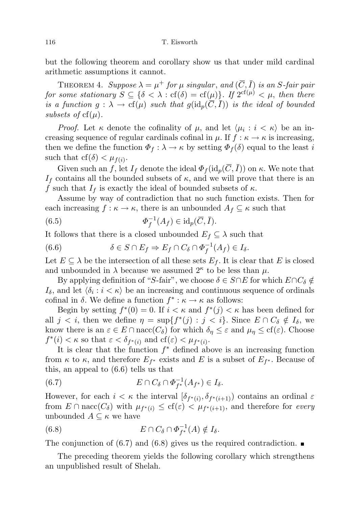116 T. Eisworth

but the following theorem and corollary show us that under mild cardinal arithmetic assumptions it cannot.

THEOREM 4. Suppose  $\lambda = \mu^+$  for  $\mu$  singular, and  $(\overline{C}, \overline{I})$  is an S-fair pair for some stationary  $S \subseteq \{\delta < \lambda : \text{cf}(\delta) = \text{cf}(\mu)\}\$ . If  $2^{\text{cf}(\mu)} < \mu$ , then there is a function  $g : \lambda \to cf(\mu)$  such that  $g(id_p(\overline{C},\overline{I}))$  is the ideal of bounded subsets of  $cf(\mu)$ .

*Proof.* Let  $\kappa$  denote the cofinality of  $\mu$ , and let  $\langle \mu_i : i \langle \kappa \rangle$  be an increasing sequence of regular cardinals cofinal in  $\mu$ . If  $f : \kappa \to \kappa$  is increasing, then we define the function  $\Phi_f : \lambda \to \kappa$  by setting  $\Phi_f(\delta)$  equal to the least i such that  $cf(\delta) < \mu_{f(i)}$ .

Given such an f, let  $I_f$  denote the ideal  $\Phi_f(\mathrm{id}_p(\overline{C}, \overline{I}))$  on  $\kappa$ . We note that  $I_f$  contains all the bounded subsets of  $\kappa$ , and we will prove that there is an f such that  $I_f$  is exactly the ideal of bounded subsets of  $\kappa$ .

Assume by way of contradiction that no such function exists. Then for each increasing  $f : \kappa \to \kappa$ , there is an unbounded  $A_f \subseteq \kappa$  such that

(6.5) 
$$
\Phi_f^{-1}(A_f) \in \mathrm{id}_p(\overline{C}, \overline{I}).
$$

It follows that there is a closed unbounded  $E_f \subseteq \lambda$  such that

(6.6) 
$$
\delta \in S \cap E_f \Rightarrow E_f \cap C_{\delta} \cap \Phi_f^{-1}(A_f) \in I_{\delta}.
$$

Let  $E \subseteq \lambda$  be the intersection of all these sets  $E_f$ . It is clear that E is closed and unbounded in  $\lambda$  because we assumed  $2^{\kappa}$  to be less than  $\mu$ .

By applying definition of "S-fair", we choose  $\delta \in S \cap E$  for which  $E \cap C_{\delta} \notin$  $I_{\delta}$ , and let  $\langle \delta_i : i < \kappa \rangle$  be an increasing and continuous sequence of ordinals cofinal in  $\delta$ . We define a function  $f^* : \kappa \to \kappa$  as follows:

Begin by setting  $f^*(0) = 0$ . If  $i < \kappa$  and  $f^*(j) < \kappa$  has been defined for all  $j < i$ , then we define  $\eta = \sup\{f^*(j) : j < i\}$ . Since  $E \cap C_{\delta} \notin I_{\delta}$ , we know there is an  $\varepsilon \in E \cap \text{nacc}(C_{\delta})$  for which  $\delta_{\eta} \leq \varepsilon$  and  $\mu_{\eta} \leq \text{cf}(\varepsilon)$ . Choose  $f^*(i) < \kappa$  so that  $\varepsilon < \delta_{f^*(i)}$  and  $cf(\varepsilon) < \mu_{f^*(i)}$ .

It is clear that the function  $f^*$  defined above is an increasing function from  $\kappa$  to  $\kappa$ , and therefore  $E_{f^*}$  exists and E is a subset of  $E_{f^*}$ . Because of this, an appeal to (6.6) tells us that

(6.7) 
$$
E \cap C_{\delta} \cap \Phi_{f^*}^{-1}(A_{f^*}) \in I_{\delta}.
$$

However, for each  $i < \kappa$  the interval  $[\delta_{f^*(i)}, \delta_{f^*(i+1)})$  contains an ordinal  $\varepsilon$ from  $E \cap \text{nacc}(C_{\delta})$  with  $\mu_{f^*(i)} \leq \text{cf}(\varepsilon) < \mu_{f^*(i+1)}$ , and therefore for every unbounded  $A \subseteq \kappa$  we have

(6.8) 
$$
E \cap C_{\delta} \cap \Phi_{f^*}^{-1}(A) \notin I_{\delta}.
$$

The conjunction of (6.7) and (6.8) gives us the required contradiction.  $\blacksquare$ 

The preceding theorem yields the following corollary which strengthens an unpublished result of Shelah.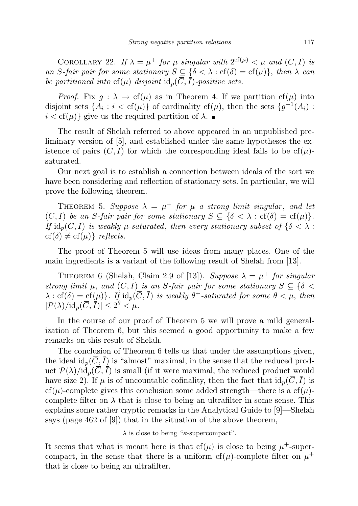COROLLARY 22. If  $\lambda = \mu^+$  for  $\mu$  singular with  $2^{cf(\mu)} < \mu$  and  $(\overline{C}, \overline{I})$  is an S-fair pair for some stationary  $S \subseteq {\delta < \lambda : \text{cf}(\delta) = \text{cf}(\mu)}$ , then  $\lambda$  can be partitioned into  $cf(\mu)$  disjoint  $id_p(\overline{C}, \overline{I})$ -positive sets.

*Proof.* Fix  $g: \lambda \to cf(\mu)$  as in Theorem 4. If we partition  $cf(\mu)$  into disjoint sets  $\{A_i : i < \text{cf}(\mu)\}\$  of cardinality  $\text{cf}(\mu)$ , then the sets  $\{g^{-1}(A_i) :$  $i < \text{cf}(\mu)$  give us the required partition of  $\lambda$ .

The result of Shelah referred to above appeared in an unpublished preliminary version of [5], and established under the same hypotheses the existence of pairs  $(C, I)$  for which the corresponding ideal fails to be  $cf(\mu)$ saturated.

Our next goal is to establish a connection between ideals of the sort we have been considering and reflection of stationary sets. In particular, we will prove the following theorem.

THEOREM 5. Suppose  $\lambda = \mu^+$  for  $\mu$  a strong limit singular, and let  $(\overline{C}, \overline{I})$  be an *S*-fair pair for some stationary  $S \subseteq {\delta < \lambda : cf(\delta) = cf(\mu)}$ . If  $\mathrm{id}_p(\overline{C}, \overline{I})$  is weakly  $\mu$ -saturated, then every stationary subset of  $\{\delta < \lambda :$  $cf(\delta) \neq cf(\mu)$ } reflects.

The proof of Theorem 5 will use ideas from many places. One of the main ingredients is a variant of the following result of Shelah from [13].

THEOREM 6 (Shelah, Claim 2.9 of [13]). Suppose  $\lambda = \mu^+$  for singular strong limit  $\mu$ , and  $(\overline{C}, \overline{I})$  is an S-fair pair for some stationary  $S \subseteq \{ \delta <$  $\lambda : cf(\delta) = cf(\mu) \}$ . If  $id_p(\overline{C}, \overline{I})$  is weakly  $\theta^+$ -saturated for some  $\theta < \mu$ , then  $|\mathcal{P}(\lambda)/\mathrm{id}_p(\overline{C}, \overline{I})| \leq 2^{\theta} < \mu.$ 

In the course of our proof of Theorem 5 we will prove a mild generalization of Theorem 6, but this seemed a good opportunity to make a few remarks on this result of Shelah.

The conclusion of Theorem 6 tells us that under the assumptions given, the ideal  $id_n(\overline{C}, \overline{I})$  is "almost" maximal, in the sense that the reduced product  $\mathcal{P}(\lambda)/\mathrm{id}_p(\overline{C}, \overline{I})$  is small (if it were maximal, the reduced product would have size 2). If  $\mu$  is of uncountable cofinality, then the fact that  $id_p(\overline{C}, \overline{I})$  is cf( $\mu$ )-complete gives this conclusion some added strength—there is a cf( $\mu$ )complete filter on  $\lambda$  that is close to being an ultrafilter in some sense. This explains some rather cryptic remarks in the Analytical Guide to [9]—Shelah says (page 462 of [9]) that in the situation of the above theorem,

 $\lambda$  is close to being " $\kappa$ -supercompact".

It seems that what is meant here is that  $cf(\mu)$  is close to being  $\mu^+$ -supercompact, in the sense that there is a uniform  $cf(\mu)$ -complete filter on  $\mu^+$ that is close to being an ultrafilter.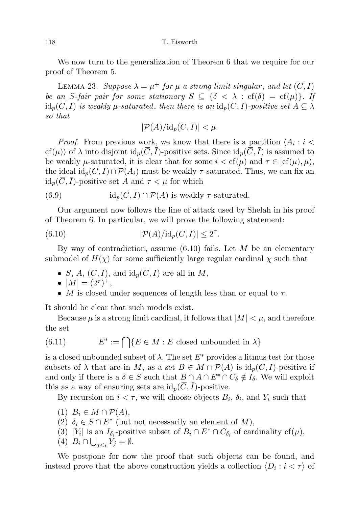We now turn to the generalization of Theorem 6 that we require for our proof of Theorem 5.

LEMMA 23. Suppose  $\lambda = \mu^+$  for  $\mu$  a strong limit singular, and let  $(\overline{C}, \overline{I})$ be an S-fair pair for some stationary  $S \subseteq {\delta < \lambda : \text{cf}(\delta) = \text{cf}(\mu)}$ . If  $\mathrm{id}_p(\overline{C}, \overline{I})$  is weakly  $\mu$ -saturated, then there is an  $\mathrm{id}_p(\overline{C}, \overline{I})$ -positive set  $A \subseteq \lambda$ so that

$$
|\mathcal{P}(A)/{\rm id}_p(\overline{C},\overline{I})|<\mu.
$$

*Proof.* From previous work, we know that there is a partition  $\langle A_i : i \rangle$  $cf(\mu)$  of  $\lambda$  into disjoint  $id_p(\overline{C}, \overline{I})$ -positive sets. Since  $id_p(\overline{C}, \overline{I})$  is assumed to be weakly  $\mu$ -saturated, it is clear that for some  $i < \text{cf}(\mu)$  and  $\tau \in [\text{cf}(\mu), \mu)$ , the ideal  $id_p(C, I) \cap \mathcal{P}(A_i)$  must be weakly  $\tau$ -saturated. Thus, we can fix an  $id_p(\overline{C}, \overline{I})$ -positive set A and  $\tau < \mu$  for which

(6.9) 
$$
id_p(\overline{C}, \overline{I}) \cap \mathcal{P}(A) \text{ is weakly } \tau\text{-saturated.}
$$

Our argument now follows the line of attack used by Shelah in his proof of Theorem 6. In particular, we will prove the following statement:

(6.10) 
$$
|\mathcal{P}(A)/\mathrm{id}_p(\overline{C},\overline{I})| \leq 2^{\tau}.
$$

By way of contradiction, assume  $(6.10)$  fails. Let M be an elementary submodel of  $H(\chi)$  for some sufficiently large regular cardinal  $\chi$  such that

- S, A,  $(\overline{C}, \overline{I})$ , and  $\mathrm{id}_p(\overline{C}, \overline{I})$  are all in M,
- $|M| = (2^{\tau})^+,$
- M is closed under sequences of length less than or equal to  $\tau$ .

It should be clear that such models exist.

Because  $\mu$  is a strong limit cardinal, it follows that  $|M| < \mu$ , and therefore the set

(6.11) 
$$
E^* := \bigcap \{ E \in M : E \text{ closed unbounded in } \lambda \}
$$

is a closed unbounded subset of  $\lambda$ . The set  $E^*$  provides a litmus test for those subsets of  $\lambda$  that are in M, as a set  $B \in M \cap \mathcal{P}(A)$  is  $\mathrm{id}_p(\overline{C}, \overline{I})$ -positive if and only if there is a  $\delta \in S$  such that  $B \cap A \cap E^* \cap C_{\delta} \notin I_{\delta}$ . We will exploit this as a way of ensuring sets are  $\mathrm{id}_p(\overline{C}, I)$ -positive.

By recursion on  $i < \tau$ , we will choose objects  $B_i$ ,  $\delta_i$ , and  $Y_i$  such that

- (1)  $B_i \in M \cap \mathcal{P}(A),$
- (2)  $\delta_i \in S \cap E^*$  (but not necessarily an element of M),
- (3) |Y<sub>i</sub>| is an  $I_{\delta_i}$ -positive subset of  $B_i \cap E^* \cap C_{\delta_i}$  of cardinality cf( $\mu$ ),
- (4)  $B_i \cap \bigcup_{j.$

We postpone for now the proof that such objects can be found, and instead prove that the above construction yields a collection  $\langle D_i : i < \tau \rangle$  of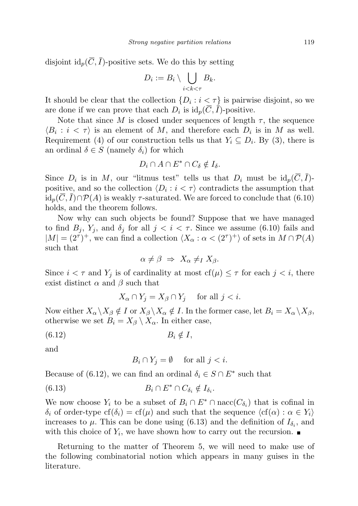disjoint  $id_p(\overline{C}, \overline{I})$ -positive sets. We do this by setting

$$
D_i := B_i \setminus \bigcup_{i < k < \tau} B_k.
$$

It should be clear that the collection  $\{D_i : i < \tau\}$  is pairwise disjoint, so we are done if we can prove that each  $D_i$  is  $\mathrm{id}_p(C, I)$ -positive.

Note that since M is closed under sequences of length  $\tau$ , the sequence  $\langle B_i : i < \tau \rangle$  is an element of M, and therefore each  $D_i$  is in M as well. Requirement (4) of our construction tells us that  $Y_i \subseteq D_i$ . By (3), there is an ordinal  $\delta \in S$  (namely  $\delta_i$ ) for which

$$
D_i \cap A \cap E^* \cap C_{\delta} \notin I_{\delta}.
$$

Since  $D_i$  is in M, our "litmus test" tells us that  $D_i$  must be  $id_p(C, I)$ positive, and so the collection  $\langle D_i : i < \tau \rangle$  contradicts the assumption that  $id_p(\overline{C}, \overline{I}) \cap \mathcal{P}(A)$  is weakly  $\tau$ -saturated. We are forced to conclude that (6.10) holds, and the theorem follows.

Now why can such objects be found? Suppose that we have managed to find  $B_j$ ,  $Y_j$ , and  $\delta_j$  for all  $j < i < \tau$ . Since we assume (6.10) fails and  $|M| = (2^{\tau})^+$ , we can find a collection  $\langle X_{\alpha} : \alpha < (2^{\tau})^+ \rangle$  of sets in  $M \cap \mathcal{P}(A)$ such that

$$
\alpha \neq \beta \Rightarrow X_{\alpha} \neq I X_{\beta}.
$$

Since  $i < \tau$  and  $Y_j$  is of cardinality at most  $cf(\mu) \leq \tau$  for each  $j < i$ , there exist distinct  $\alpha$  and  $\beta$  such that

$$
X_{\alpha} \cap Y_j = X_{\beta} \cap Y_j \quad \text{ for all } j < i.
$$

Now either  $X_{\alpha} \backslash X_{\beta} \notin I$  or  $X_{\beta} \backslash X_{\alpha} \notin I$ . In the former case, let  $B_i = X_{\alpha} \backslash X_{\beta}$ , otherwise we set  $B_i = X_\beta \setminus X_\alpha$ . In either case,

$$
(6.12) \t\t B_i \notin I,
$$

and

$$
B_i \cap Y_j = \emptyset \quad \text{ for all } j < i.
$$

Because of (6.12), we can find an ordinal  $\delta_i \in S \cap E^*$  such that

$$
(6.13) \t B_i \cap E^* \cap C_{\delta_i} \notin I_{\delta_i}.
$$

We now choose  $Y_i$  to be a subset of  $B_i \cap E^* \cap \text{nacc}(C_{\delta_i})$  that is cofinal in  $\delta_i$  of order-type  $cf(\delta_i) = cf(\mu)$  and such that the sequence  $\langle cf(\alpha) : \alpha \in Y_i \rangle$ increases to  $\mu$ . This can be done using (6.13) and the definition of  $I_{\delta_i}$ , and with this choice of  $Y_i$ , we have shown how to carry out the recursion.

Returning to the matter of Theorem 5, we will need to make use of the following combinatorial notion which appears in many guises in the literature.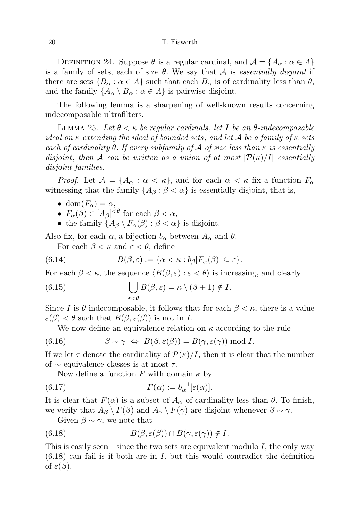DEFINITION 24. Suppose  $\theta$  is a regular cardinal, and  $\mathcal{A} = \{A_{\alpha} : \alpha \in \Lambda\}$ is a family of sets, each of size  $\theta$ . We say that  $\mathcal A$  is essentially disjoint if there are sets  $\{B_\alpha : \alpha \in \Lambda\}$  such that each  $B_\alpha$  is of cardinality less than  $\theta$ , and the family  $\{A_{\alpha} \setminus B_{\alpha} : \alpha \in \Lambda\}$  is pairwise disjoint.

The following lemma is a sharpening of well-known results concerning indecomposable ultrafilters.

LEMMA 25. Let  $\theta < \kappa$  be regular cardinals, let I be an  $\theta$ -indecomposable ideal on  $\kappa$  extending the ideal of bounded sets, and let A be a family of  $\kappa$  sets each of cardinality  $\theta$ . If every subfamily of A of size less than  $\kappa$  is essentially disjoint, then A can be written as a union of at most  $|\mathcal{P}(\kappa)/I|$  essentially disjoint families.

*Proof.* Let  $\mathcal{A} = \{A_{\alpha} : \alpha < \kappa\}$ , and for each  $\alpha < \kappa$  fix a function  $F_{\alpha}$ witnessing that the family  $\{A_\beta : \beta < \alpha\}$  is essentially disjoint, that is,

- dom $(F_{\alpha}) = \alpha$ ,
- $F_{\alpha}(\beta) \in [A_{\beta}]^{<\theta}$  for each  $\beta < \alpha$ ,
- the family  $\{A_\beta \setminus F_\alpha(\beta) : \beta < \alpha\}$  is disjoint.

Also fix, for each  $\alpha$ , a bijection  $b_{\alpha}$  between  $A_{\alpha}$  and  $\theta$ .

For each  $\beta < \kappa$  and  $\varepsilon < \theta$ , define

(6.14) 
$$
B(\beta,\varepsilon):=\{\alpha<\kappa:b_{\beta}[F_{\alpha}(\beta)]\subseteq\varepsilon\}.
$$

For each  $\beta < \kappa$ , the sequence  $\langle B(\beta, \varepsilon) : \varepsilon < \theta \rangle$  is increasing, and clearly

(6.15) 
$$
\bigcup_{\varepsilon < \theta} B(\beta, \varepsilon) = \kappa \setminus (\beta + 1) \notin I.
$$

Since I is  $\theta$ -indecomposable, it follows that for each  $\beta < \kappa$ , there is a value  $\varepsilon(\beta) < \theta$  such that  $B(\beta, \varepsilon(\beta))$  is not in I.

We now define an equivalence relation on  $\kappa$  according to the rule

(6.16) 
$$
\beta \sim \gamma \Leftrightarrow B(\beta,\varepsilon(\beta)) = B(\gamma,\varepsilon(\gamma)) \bmod I.
$$

If we let  $\tau$  denote the cardinality of  $\mathcal{P}(\kappa)/I$ , then it is clear that the number of  $\sim$ -equivalence classes is at most  $\tau$ .

Now define a function F with domain  $\kappa$  by

(6.17) 
$$
F(\alpha) := b_{\alpha}^{-1}[\varepsilon(\alpha)].
$$

It is clear that  $F(\alpha)$  is a subset of  $A_{\alpha}$  of cardinality less than  $\theta$ . To finish, we verify that  $A_{\beta} \setminus F(\beta)$  and  $A_{\gamma} \setminus F(\gamma)$  are disjoint whenever  $\beta \sim \gamma$ .

Given  $\beta \sim \gamma$ , we note that

(6.18) 
$$
B(\beta, \varepsilon(\beta)) \cap B(\gamma, \varepsilon(\gamma)) \notin I.
$$

This is easily seen—since the two sets are equivalent modulo  $I$ , the only way  $(6.18)$  can fail is if both are in I, but this would contradict the definition of  $\varepsilon(\beta)$ .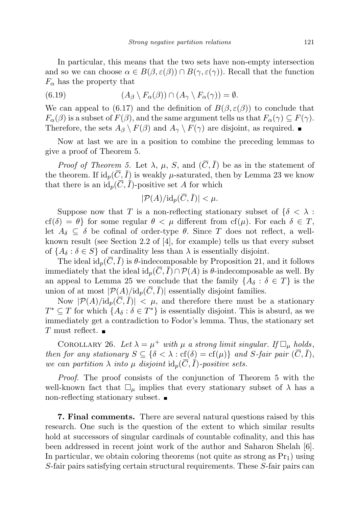In particular, this means that the two sets have non-empty intersection and so we can choose  $\alpha \in B(\beta, \varepsilon(\beta)) \cap B(\gamma, \varepsilon(\gamma))$ . Recall that the function  $F_{\alpha}$  has the property that

(6.19) 
$$
(A_{\beta} \setminus F_{\alpha}(\beta)) \cap (A_{\gamma} \setminus F_{\alpha}(\gamma)) = \emptyset.
$$

We can appeal to (6.17) and the definition of  $B(\beta, \varepsilon(\beta))$  to conclude that  $F_{\alpha}(\beta)$  is a subset of  $F(\beta)$ , and the same argument tells us that  $F_{\alpha}(\gamma) \subseteq F(\gamma)$ . Therefore, the sets  $A_{\beta} \setminus F(\beta)$  and  $A_{\gamma} \setminus F(\gamma)$  are disjoint, as required.

Now at last we are in a position to combine the preceding lemmas to give a proof of Theorem 5.

*Proof of Theorem 5.* Let  $\lambda$ ,  $\mu$ , S, and  $(\overline{C}, \overline{I})$  be as in the statement of the theorem. If  $id_p(\overline{C}, \overline{I})$  is weakly  $\mu$ -saturated, then by Lemma 23 we know that there is an  $\mathrm{id}_p(\overline{C}, \overline{I})$ -positive set A for which

$$
|\mathcal{P}(A)/\mathrm{id}_p(\overline{C},\overline{I})| < \mu.
$$

Suppose now that T is a non-reflecting stationary subset of  $\{\delta \leq \lambda :$  $cf(\delta) = \theta$  for some regular  $\theta < \mu$  different from  $cf(\mu)$ . For each  $\delta \in T$ , let  $A_{\delta} \subseteq \delta$  be cofinal of order-type  $\theta$ . Since T does not reflect, a wellknown result (see Section 2.2 of [4], for example) tells us that every subset of  $\{A_\delta : \delta \in S\}$  of cardinality less than  $\lambda$  is essentially disjoint.

The ideal  $id_p(C, I)$  is  $\theta$ -indecomposable by Proposition 21, and it follows immediately that the ideal id<sub>p</sub>( $\overline{C}, \overline{I}$ )∩ $\mathcal{P}(A)$  is  $\theta$ -indecomposable as well. By an appeal to Lemma 25 we conclude that the family  $\{A_\delta : \delta \in T\}$  is the union of at most  $|\mathcal{P}(A)/\mathrm{id}_p(\overline{C}, \overline{I})|$  essentially disjoint families.

Now  $|\mathcal{P}(A)/\mathrm{id}_p(\overline{C},\overline{I})| < \mu$ , and therefore there must be a stationary  $T^* \subseteq T$  for which  $\{A_\delta : \delta \in T^*\}$  is essentially disjoint. This is absurd, as we immediately get a contradiction to Fodor's lemma. Thus, the stationary set T must reflect.  $\blacksquare$ 

COROLLARY 26. Let  $\lambda = \mu^+$  with  $\mu$  a strong limit singular. If  $\Box_{\mu}$  holds, then for any stationary  $S \subseteq {\delta < \lambda : \text{cf}(\delta) = \text{cf}(\mu)}$  and S-fair pair  $(\overline{C}, \overline{I})$ , we can partition  $\lambda$  into  $\mu$  disjoint  $id_p(\overline{C}, \overline{I})$ -positive sets.

Proof. The proof consists of the conjunction of Theorem 5 with the well-known fact that  $\Box_{\mu}$  implies that every stationary subset of  $\lambda$  has a non-reflecting stationary subset.

7. Final comments. There are several natural questions raised by this research. One such is the question of the extent to which similar results hold at successors of singular cardinals of countable cofinality, and this has been addressed in recent joint work of the author and Saharon Shelah [6]. In particular, we obtain coloring theorems (not quite as strong as  $Pr_1$ ) using S-fair pairs satisfying certain structural requirements. These S-fair pairs can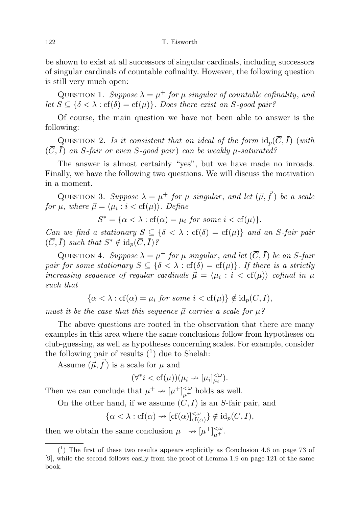be shown to exist at all successors of singular cardinals, including successors of singular cardinals of countable cofinality. However, the following question is still very much open:

QUESTION 1. Suppose  $\lambda = \mu^+$  for  $\mu$  singular of countable cofinality, and let  $S \subseteq {\delta < \lambda : cf(\delta) = cf(\mu)}$ . Does there exist an S-good pair?

Of course, the main question we have not been able to answer is the following:

QUESTION 2. Is it consistent that an ideal of the form  $\mathrm{id}_p(\overline{C}, \overline{I})$  (with  $(\overline{C}, \overline{I})$  an S-fair or even S-good pair) can be weakly  $\mu$ -saturated?

The answer is almost certainly "yes", but we have made no inroads. Finally, we have the following two questions. We will discuss the motivation in a moment.

QUESTION 3. Suppose  $\lambda = \mu^+$  for  $\mu$  singular, and let  $(\vec{\mu}, \vec{f})$  be a scale for  $\mu$ , where  $\vec{\mu} = \langle \mu_i : i < \text{cf}(\mu) \rangle$ . Define

 $S^* = {\alpha < \lambda : cf(\alpha) = \mu_i \text{ for some } i < cf(\mu)}$ .

Can we find a stationary  $S \subseteq {\delta < \lambda : \text{cf}(\delta) = \text{cf}(\mu)}$  and an S-fair pair  $(\overline{C}, \overline{I})$  such that  $S^* \notin \mathrm{id}_p(\overline{C}, \overline{I})$ ?

QUESTION 4. Suppose  $\lambda = \mu^+$  for  $\mu$  singular, and let  $(\overline{C}, \overline{I})$  be an S-fair pair for some stationary  $S \subseteq {\delta < \lambda : \text{cf}(\delta) = \text{cf}(\mu)}$ . If there is a strictly increasing sequence of regular cardinals  $\vec{\mu} = \langle \mu_i : i < \text{cf}(\mu) \rangle$  cofinal in  $\mu$ such that

$$
\{\alpha < \lambda : cf(\alpha) = \mu_i \text{ for some } i < cf(\mu)\} \notin id_p(\overline{C}, \overline{I}),
$$

must it be the case that this sequence  $\vec{\mu}$  carries a scale for  $\mu$ ?

The above questions are rooted in the observation that there are many examples in this area where the same conclusions follow from hypotheses on club-guessing, as well as hypotheses concerning scales. For example, consider the following pair of results  $(1)$  due to Shelah:

Assume  $(\vec{\mu}, \vec{f})$  is a scale for  $\mu$  and

$$
(\forall^* i < \text{cf}(\mu))(\mu_i \to [\mu_i]_{\mu_i}^{\leq \omega}).
$$

Then we can conclude that  $\mu^+ \nrightarrow [\mu^+]_{\mu^+}^{<\omega}$  holds as well.

On the other hand, if we assume  $(\overline{C}, \overline{I})$  is an S-fair pair, and

$$
\{\alpha<\lambda: \mathrm{cf}(\alpha)\nrightarrow [\mathrm{cf}(\alpha)]^{<\omega}_{\mathrm{cf}(\alpha)}\}\notin \mathrm{id}_p(\overline{C},\overline{I}),
$$

then we obtain the same conclusion  $\mu^+ \nrightarrow [\mu^+]_{\mu^+}^{<\omega}$ .

 $(1)$  The first of these two results appears explicitly as Conclusion 4.6 on page 73 of [9], while the second follows easily from the proof of Lemma 1.9 on page 121 of the same book.